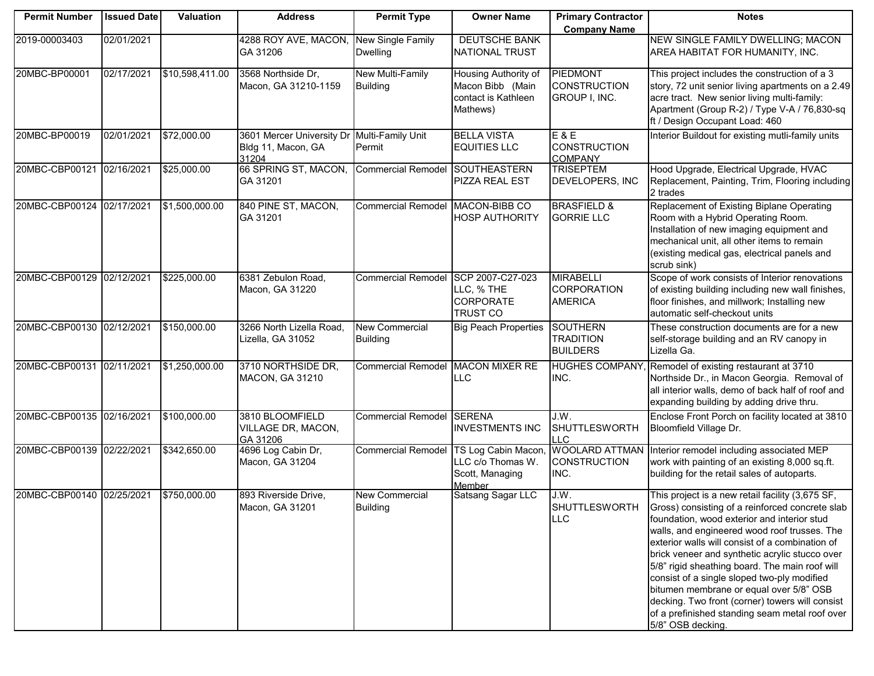| <b>Permit Number</b>      | <b>Issued Date</b> | Valuation       | <b>Address</b>                                           | <b>Permit Type</b>                       | <b>Owner Name</b>                                                           | <b>Primary Contractor</b>                                | <b>Notes</b>                                                                                                                                                                                                                                                                                                                                                                                                                                                                                                                                                                  |
|---------------------------|--------------------|-----------------|----------------------------------------------------------|------------------------------------------|-----------------------------------------------------------------------------|----------------------------------------------------------|-------------------------------------------------------------------------------------------------------------------------------------------------------------------------------------------------------------------------------------------------------------------------------------------------------------------------------------------------------------------------------------------------------------------------------------------------------------------------------------------------------------------------------------------------------------------------------|
|                           |                    |                 |                                                          |                                          |                                                                             | <b>Company Name</b>                                      |                                                                                                                                                                                                                                                                                                                                                                                                                                                                                                                                                                               |
| 2019-00003403             | 02/01/2021         |                 | 4288 ROY AVE, MACON,<br>GA 31206                         | New Single Family<br><b>Dwelling</b>     | <b>DEUTSCHE BANK</b><br>NATIONAL TRUST                                      |                                                          | NEW SINGLE FAMILY DWELLING; MACON<br>AREA HABITAT FOR HUMANITY, INC.                                                                                                                                                                                                                                                                                                                                                                                                                                                                                                          |
| 20MBC-BP00001             | 02/17/2021         | \$10,598,411.00 | 3568 Northside Dr,<br>Macon, GA 31210-1159               | New Multi-Family<br><b>Building</b>      | Housing Authority of<br>Macon Bibb (Main<br>contact is Kathleen<br>Mathews) | PIEDMONT<br><b>CONSTRUCTION</b><br>GROUP I, INC.         | This project includes the construction of a 3<br>story, 72 unit senior living apartments on a 2.49<br>acre tract. New senior living multi-family:<br>Apartment (Group R-2) / Type V-A / 76,830-sq<br>ft / Design Occupant Load: 460                                                                                                                                                                                                                                                                                                                                           |
| 20MBC-BP00019             | 02/01/2021         | \$72,000.00     | 3601 Mercer University Dr<br>Bldg 11, Macon, GA<br>31204 | Multi-Family Unit<br>Permit              | <b>BELLA VISTA</b><br><b>EQUITIES LLC</b>                                   | E & E<br><b>CONSTRUCTION</b><br><b>COMPANY</b>           | Interior Buildout for existing mutli-family units                                                                                                                                                                                                                                                                                                                                                                                                                                                                                                                             |
| 20MBC-CBP00121 02/16/2021 |                    | \$25,000.00     | 66 SPRING ST, MACON,<br>GA 31201                         | Commercial Remodel SOUTHEASTERN          | <b>PIZZA REAL EST</b>                                                       | <b>TRISEPTEM</b><br>DEVELOPERS, INC                      | Hood Upgrade, Electrical Upgrade, HVAC<br>Replacement, Painting, Trim, Flooring including<br>2 trades                                                                                                                                                                                                                                                                                                                                                                                                                                                                         |
| 20MBC-CBP00124 02/17/2021 |                    | \$1,500,000.00  | 840 PINE ST, MACON,<br>GA 31201                          | Commercial Remodel MACON-BIBB CO         | <b>HOSP AUTHORITY</b>                                                       | <b>BRASFIELD &amp;</b><br><b>GORRIE LLC</b>              | Replacement of Existing Biplane Operating<br>Room with a Hybrid Operating Room.<br>Installation of new imaging equipment and<br>mechanical unit, all other items to remain<br>(existing medical gas, electrical panels and<br>scrub sink)                                                                                                                                                                                                                                                                                                                                     |
| 20MBC-CBP00129 02/12/2021 |                    | \$225,000.00    | 6381 Zebulon Road,<br>Macon, GA 31220                    | <b>Commercial Remodel</b>                | SCP 2007-C27-023<br>LLC, % THE<br><b>CORPORATE</b><br><b>TRUST CO</b>       | <b>MIRABELLI</b><br><b>CORPORATION</b><br><b>AMERICA</b> | Scope of work consists of Interior renovations<br>of existing building including new wall finishes,<br>floor finishes, and millwork; Installing new<br>automatic self-checkout units                                                                                                                                                                                                                                                                                                                                                                                          |
| 20MBC-CBP00130 02/12/2021 |                    | \$150,000.00    | 3266 North Lizella Road,<br>Lizella, GA 31052            | <b>New Commercial</b><br><b>Building</b> | <b>Big Peach Properties</b>                                                 | <b>SOUTHERN</b><br><b>TRADITION</b><br><b>BUILDERS</b>   | These construction documents are for a new<br>self-storage building and an RV canopy in<br>Lizella Ga.                                                                                                                                                                                                                                                                                                                                                                                                                                                                        |
| 20MBC-CBP00131 02/11/2021 |                    | \$1,250,000.00  | 3710 NORTHSIDE DR,<br>MACON, GA 31210                    | <b>Commercial Remodel</b>                | <b>MACON MIXER RE</b><br><b>LLC</b>                                         | <b>HUGHES COMPANY,</b><br>INC.                           | Remodel of existing restaurant at 3710<br>Northside Dr., in Macon Georgia. Removal of<br>all interior walls, demo of back half of roof and<br>expanding building by adding drive thru.                                                                                                                                                                                                                                                                                                                                                                                        |
| 20MBC-CBP00135 02/16/2021 |                    | \$100,000.00    | 3810 BLOOMFIELD<br>VILLAGE DR, MACON,<br>GA 31206        | <b>Commercial Remodel SERENA</b>         | <b>INVESTMENTS INC</b>                                                      | J.W.<br><b>SHUTTLESWORTH</b><br><b>LLC</b>               | Enclose Front Porch on facility located at 3810<br>Bloomfield Village Dr.                                                                                                                                                                                                                                                                                                                                                                                                                                                                                                     |
| 20MBC-CBP00139 02/22/2021 |                    | \$342,650.00    | 4696 Log Cabin Dr,<br>Macon, GA 31204                    | <b>Commercial Remodel</b>                | TS Log Cabin Macon<br>LLC c/o Thomas W.<br>Scott, Managing<br>Member        | <b>WOOLARD ATTMAN</b><br><b>CONSTRUCTION</b><br>INC.     | Interior remodel including associated MEP<br>work with painting of an existing 8,000 sq.ft.<br>building for the retail sales of autoparts.                                                                                                                                                                                                                                                                                                                                                                                                                                    |
| 20MBC-CBP00140 02/25/2021 |                    | \$750,000.00    | 893 Riverside Drive,<br>Macon, GA 31201                  | <b>New Commercial</b><br><b>Building</b> | Satsang Sagar LLC                                                           | J.W.<br><b>SHUTTLESWORTH</b><br><b>LLC</b>               | This project is a new retail facility (3,675 SF,<br>Gross) consisting of a reinforced concrete slab<br>foundation, wood exterior and interior stud<br>walls, and engineered wood roof trusses. The<br>exterior walls will consist of a combination of<br>brick veneer and synthetic acrylic stucco over<br>5/8" rigid sheathing board. The main roof will<br>consist of a single sloped two-ply modified<br>bitumen membrane or equal over 5/8" OSB<br>decking. Two front (corner) towers will consist<br>of a prefinished standing seam metal roof over<br>5/8" OSB decking. |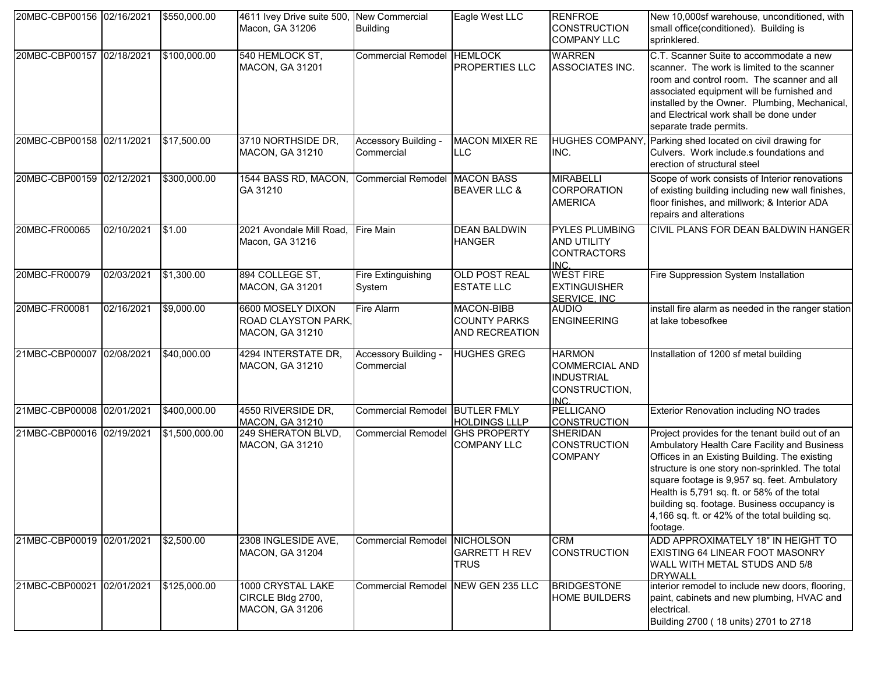| 20MBC-CBP00156 02/16/2021 |            | \$550,000.00   | 4611 Ivey Drive suite 500, New Commercial<br>Macon, GA 31206 | <b>Building</b>                     | Eagle West LLC                                      | <b>RENFROE</b><br><b>CONSTRUCTION</b><br><b>COMPANY LLC</b>                                     | New 10,000sf warehouse, unconditioned, with<br>small office(conditioned). Building is<br>sprinklered.                                                                                                                                                                                                                                                                                                           |
|---------------------------|------------|----------------|--------------------------------------------------------------|-------------------------------------|-----------------------------------------------------|-------------------------------------------------------------------------------------------------|-----------------------------------------------------------------------------------------------------------------------------------------------------------------------------------------------------------------------------------------------------------------------------------------------------------------------------------------------------------------------------------------------------------------|
| 20MBC-CBP00157 02/18/2021 |            | \$100,000.00   | 540 HEMLOCK ST,<br><b>MACON, GA 31201</b>                    | <b>Commercial Remodel HEMLOCK</b>   | PROPERTIES LLC                                      | <b>WARREN</b><br>ASSOCIATES INC.                                                                | C.T. Scanner Suite to accommodate a new<br>scanner. The work is limited to the scanner<br>room and control room. The scanner and all<br>associated equipment will be furnished and<br>installed by the Owner. Plumbing, Mechanical,<br>and Electrical work shall be done under<br>separate trade permits.                                                                                                       |
| 20MBC-CBP00158 02/11/2021 |            | \$17,500.00    | 3710 NORTHSIDE DR,<br>MACON, GA 31210                        | Accessory Building -<br>Commercial  | <b>MACON MIXER RE</b><br>LLC                        | INC.                                                                                            | HUGHES COMPANY, Parking shed located on civil drawing for<br>Culvers. Work include.s foundations and<br>erection of structural steel                                                                                                                                                                                                                                                                            |
| 20MBC-CBP00159 02/12/2021 |            | \$300,000.00   | 1544 BASS RD, MACON,<br>GA 31210                             | <b>Commercial Remodel</b>           | <b>MACON BASS</b><br><b>BEAVER LLC &amp;</b>        | <b>MIRABELLI</b><br>CORPORATION<br><b>AMERICA</b>                                               | Scope of work consists of Interior renovations<br>of existing building including new wall finishes,<br>floor finishes, and millwork; & Interior ADA<br>repairs and alterations                                                                                                                                                                                                                                  |
| 20MBC-FR00065             | 02/10/2021 | \$1.00         | 2021 Avondale Mill Road,<br>Macon, GA 31216                  | <b>Fire Main</b>                    | <b>DEAN BALDWIN</b><br><b>HANGER</b>                | <b>PYLES PLUMBING</b><br>AND UTILITY<br><b>CONTRACTORS</b><br>INC.                              | CIVIL PLANS FOR DEAN BALDWIN HANGER                                                                                                                                                                                                                                                                                                                                                                             |
| 20MBC-FR00079             | 02/03/2021 | \$1,300.00     | 894 COLLEGE ST,<br>MACON, GA 31201                           | <b>Fire Extinguishing</b><br>System | <b>OLD POST REAL</b><br><b>ESTATE LLC</b>           | <b>WEST FIRE</b><br><b>EXTINGUISHER</b><br>SERVICE, INC.                                        | Fire Suppression System Installation                                                                                                                                                                                                                                                                                                                                                                            |
| 20MBC-FR00081             | 02/16/2021 | \$9,000.00     | 6600 MOSELY DIXON<br>ROAD CLAYSTON PARK,<br>MACON, GA 31210  | Fire Alarm                          | MACON-BIBB<br><b>COUNTY PARKS</b><br>AND RECREATION | <b>AUDIO</b><br><b>ENGINEERING</b>                                                              | install fire alarm as needed in the ranger station<br>at lake tobesofkee                                                                                                                                                                                                                                                                                                                                        |
| 21MBC-CBP00007 02/08/2021 |            | \$40,000.00    | 4294 INTERSTATE DR,<br>MACON, GA 31210                       | Accessory Building -<br>Commercial  | <b>HUGHES GREG</b>                                  | <b>HARMON</b><br><b>COMMERCIAL AND</b><br><b>INDUSTRIAL</b><br>CONSTRUCTION,<br>IN <sub>C</sub> | Installation of 1200 sf metal building                                                                                                                                                                                                                                                                                                                                                                          |
| 21MBC-CBP00008 02/01/2021 |            | \$400,000.00   | 4550 RIVERSIDE DR,<br>MACON, GA 31210                        | <b>Commercial Remodel</b>           | <b>BUTLER FMLY</b><br><b>HOLDINGS LLLP</b>          | PELLICANO<br><b>CONSTRUCTION</b>                                                                | <b>Exterior Renovation including NO trades</b>                                                                                                                                                                                                                                                                                                                                                                  |
| 21MBC-CBP00016 02/19/2021 |            | \$1,500,000.00 | 249 SHERATON BLVD,<br>MACON, GA 31210                        | Commercial Remodel GHS PROPERTY     | <b>COMPANY LLC</b>                                  | <b>SHERIDAN</b><br><b>CONSTRUCTION</b><br><b>COMPANY</b>                                        | Project provides for the tenant build out of an<br>Ambulatory Health Care Facility and Business<br>Offices in an Existing Building. The existing<br>structure is one story non-sprinkled. The total<br>square footage is 9,957 sq. feet. Ambulatory<br>Health is 5,791 sq. ft. or 58% of the total<br>building sq. footage. Business occupancy is<br>4,166 sq. ft. or 42% of the total building sq.<br>footage. |
| 21MBC-CBP00019 02/01/2021 |            | \$2,500.00     | 2308 INGLESIDE AVE.<br>MACON, GA 31204                       | Commercial Remodel NICHOLSON        | <b>GARRETT H REV</b><br><b>TRUS</b>                 | <b>CRM</b><br><b>CONSTRUCTION</b>                                                               | ADD APPROXIMATELY 18" IN HEIGHT TO<br><b>EXISTING 64 LINEAR FOOT MASONRY</b><br>WALL WITH METAL STUDS AND 5/8<br><b>DRYWALL</b>                                                                                                                                                                                                                                                                                 |
| 21MBC-CBP00021 02/01/2021 |            | \$125,000.00   | 1000 CRYSTAL LAKE<br>CIRCLE Bldg 2700,<br>MACON, GA 31206    | <b>Commercial Remodel</b>           | NEW GEN 235 LLC                                     | <b>BRIDGESTONE</b><br><b>HOME BUILDERS</b>                                                      | interior remodel to include new doors, flooring,<br>paint, cabinets and new plumbing, HVAC and<br>electrical.<br>Building 2700 (18 units) 2701 to 2718                                                                                                                                                                                                                                                          |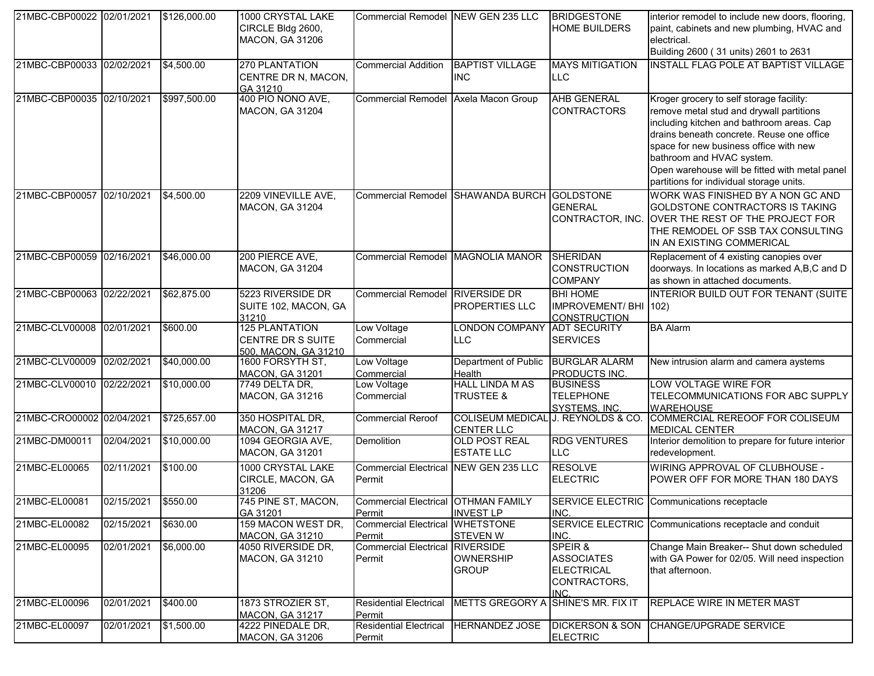| 21MBC-CBP00022 02/01/2021 |            | \$126,000.00 | 1000 CRYSTAL LAKE<br>CIRCLE Bldg 2600,<br><b>MACON, GA 31206</b>   | Commercial Remodel INEW GEN 235 LLC              |                                                         | <b>BRIDGESTONE</b><br><b>HOME BUILDERS</b>                                | interior remodel to include new doors, flooring,<br>paint, cabinets and new plumbing, HVAC and<br>electrical.<br>Building 2600 (31 units) 2601 to 2631                                                                                                                                                                                              |
|---------------------------|------------|--------------|--------------------------------------------------------------------|--------------------------------------------------|---------------------------------------------------------|---------------------------------------------------------------------------|-----------------------------------------------------------------------------------------------------------------------------------------------------------------------------------------------------------------------------------------------------------------------------------------------------------------------------------------------------|
| 21MBC-CBP00033 02/02/2021 |            | \$4,500.00   | 270 PLANTATION<br>CENTRE DR N, MACON,<br>GA 31210                  | <b>Commercial Addition</b>                       | <b>BAPTIST VILLAGE</b><br><b>INC</b>                    | <b>MAYS MITIGATION</b><br>LLC                                             | <b>INSTALL FLAG POLE AT BAPTIST VILLAGE</b>                                                                                                                                                                                                                                                                                                         |
| 21MBC-CBP00035 02/10/2021 |            | \$997,500.00 | 400 PIO NONO AVE,<br><b>MACON, GA 31204</b>                        | <b>Commercial Remodel</b>                        | Axela Macon Group                                       | <b>AHB GENERAL</b><br><b>CONTRACTORS</b>                                  | Kroger grocery to self storage facility:<br>remove metal stud and drywall partitions<br>including kitchen and bathroom areas. Cap<br>drains beneath concrete. Reuse one office<br>space for new business office with new<br>bathroom and HVAC system.<br>Open warehouse will be fitted with metal panel<br>partitions for individual storage units. |
| 21MBC-CBP00057 02/10/2021 |            | \$4,500.00   | 2209 VINEVILLE AVE,<br><b>MACON, GA 31204</b>                      | <b>Commercial Remodel</b>                        | SHAWANDA BURCH GOLDSTONE                                | <b>GENERAL</b><br>CONTRACTOR, INC.                                        | WORK WAS FINISHED BY A NON GC AND<br>GOLDSTONE CONTRACTORS IS TAKING<br>OVER THE REST OF THE PROJECT FOR<br>THE REMODEL OF SSB TAX CONSULTING<br>IN AN EXISTING COMMERICAL                                                                                                                                                                          |
| 21MBC-CBP00059 02/16/2021 |            | \$46,000.00  | 200 PIERCE AVE,<br>MACON, GA 31204                                 | Commercial Remodel MAGNOLIA MANOR                |                                                         | SHERIDAN<br><b>CONSTRUCTION</b><br><b>COMPANY</b>                         | Replacement of 4 existing canopies over<br>doorways. In locations as marked A,B,C and D<br>as shown in attached documents.                                                                                                                                                                                                                          |
| 21MBC-CBP00063 02/22/2021 |            | \$62,875.00  | 5223 RIVERSIDE DR<br>SUITE 102, MACON, GA<br>31210                 | Commercial Remodel RIVERSIDE DR                  | PROPERTIES LLC                                          | <b>BHI HOME</b><br>IMPROVEMENT/ BHI 102)<br><b>CONSTRUCTION</b>           | INTERIOR BUILD OUT FOR TENANT (SUITE                                                                                                                                                                                                                                                                                                                |
| 21MBC-CLV00008 02/01/2021 |            | \$600.00     | <b>125 PLANTATION</b><br>CENTRE DR S SUITE<br>500, MACON, GA 31210 | Low Voltage<br>Commercial                        | <b>LONDON COMPANY</b><br>LLC                            | <b>ADT SECURITY</b><br><b>SERVICES</b>                                    | <b>BA Alarm</b>                                                                                                                                                                                                                                                                                                                                     |
| 21MBC-CLV00009 02/02/2021 |            | \$40,000.00  | 1600 FORSYTH ST,<br><b>MACON, GA 31201</b>                         | Low Voltage<br>Commercial                        | Department of Public<br>Health                          | <b>BURGLAR ALARM</b><br>PRODUCTS INC.                                     | New intrusion alarm and camera aystems                                                                                                                                                                                                                                                                                                              |
| 21MBC-CLV00010 02/22/2021 |            | \$10,000.00  | 7749 DELTA DR,<br>MACON, GA 31216                                  | Low Voltage<br>Commercial                        | <b>HALL LINDA M AS</b><br><b>TRUSTEE &amp;</b>          | <b>BUSINESS</b><br><b>TELEPHONE</b><br>SYSTEMS, INC.                      | LOW VOLTAGE WIRE FOR<br>TELECOMMUNICATIONS FOR ABC SUPPLY<br><b>WAREHOUSE</b>                                                                                                                                                                                                                                                                       |
| 21MBC-CRO00002 02/04/2021 |            | \$725,657.00 | 350 HOSPITAL DR,<br>MACON, GA 31217                                | <b>Commercial Reroof</b>                         | COLISEUM MEDICAL J. REYNOLDS & CO.<br><b>CENTER LLC</b> |                                                                           | COMMERCIAL REREOOF FOR COLISEUM<br><b>MEDICAL CENTER</b>                                                                                                                                                                                                                                                                                            |
| 21MBC-DM00011             | 02/04/2021 | \$10,000.00  | 1094 GEORGIA AVE,<br><b>MACON, GA 31201</b>                        | Demolition                                       | <b>OLD POST REAL</b><br><b>ESTATE LLC</b>               | <b>RDG VENTURES</b><br><b>LLC</b>                                         | Interior demolition to prepare for future interior<br>redevelopment.                                                                                                                                                                                                                                                                                |
| 21MBC-EL00065             | 02/11/2021 | \$100.00     | 1000 CRYSTAL LAKE<br>CIRCLE, MACON, GA<br>31206                    | Commercial Electrical NEW GEN 235 LLC<br>Permit  |                                                         | <b>RESOLVE</b><br><b>ELECTRIC</b>                                         | WIRING APPROVAL OF CLUBHOUSE -<br>POWER OFF FOR MORE THAN 180 DAYS                                                                                                                                                                                                                                                                                  |
| 21MBC-EL00081             | 02/15/2021 | \$550.00     | 745 PINE ST, MACON,<br>GA 31201                                    | Commercial Electrical OTHMAN FAMILY<br>Permit    | <b>INVEST LP</b>                                        | INC.                                                                      | SERVICE ELECTRIC Communications receptacle                                                                                                                                                                                                                                                                                                          |
| 21MBC-EL00082             | 02/15/2021 | \$630.00     | 159 MACON WEST DR,<br><b>MACON, GA 31210</b>                       | <b>Commercial Electrical</b><br>Permit           | <b>WHETSTONE</b><br><b>STEVEN W</b>                     | INC.                                                                      | SERVICE ELECTRIC Communications receptacle and conduit                                                                                                                                                                                                                                                                                              |
| 21MBC-EL00095             | 02/01/2021 | \$6,000.00   | 4050 RIVERSIDE DR,<br><b>MACON, GA 31210</b>                       | <b>Commercial Electrical RIVERSIDE</b><br>Permit | <b>OWNERSHIP</b><br><b>GROUP</b>                        | SPEIR &<br><b>ASSOCIATES</b><br><b>ELECTRICAL</b><br>CONTRACTORS,<br>INC. | Change Main Breaker-- Shut down scheduled<br>with GA Power for 02/05. Will need inspection<br>that afternoon.                                                                                                                                                                                                                                       |
| 21MBC-EL00096             | 02/01/2021 | \$400.00     | 1873 STROZIER ST,<br><b>MACON, GA 31217</b>                        | <b>Residential Electrical</b><br>Permit          | <b>METTS GREGORY A</b>                                  | SHINE'S MR. FIX IT                                                        | REPLACE WIRE IN METER MAST                                                                                                                                                                                                                                                                                                                          |
| 21MBC-EL00097             | 02/01/2021 | \$1,500.00   | 4222 PINEDALE DR,<br><b>MACON, GA 31206</b>                        | <b>Residential Electrical</b><br>Permit          | <b>HERNANDEZ JOSE</b>                                   | <b>DICKERSON &amp; SON</b><br><b>ELECTRIC</b>                             | CHANGE/UPGRADE SERVICE                                                                                                                                                                                                                                                                                                                              |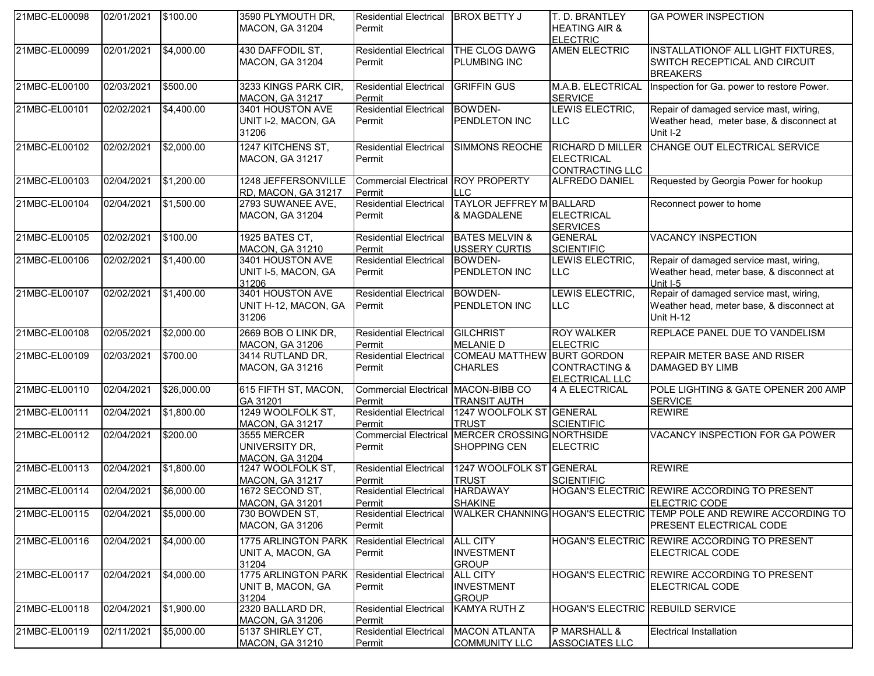| 21MBC-EL00098 | 02/01/2021 | \$100.00    | 3590 PLYMOUTH DR,          | <b>Residential Electrical</b>             | <b>BROX BETTY J</b>                             | T. D. BRANTLEY                          | <b>GA POWER INSPECTION</b>                                         |
|---------------|------------|-------------|----------------------------|-------------------------------------------|-------------------------------------------------|-----------------------------------------|--------------------------------------------------------------------|
|               |            |             | <b>MACON, GA 31204</b>     | Permit                                    |                                                 | <b>HEATING AIR &amp;</b>                |                                                                    |
|               |            |             |                            |                                           |                                                 | <b>ELECTRIC</b>                         |                                                                    |
| 21MBC-EL00099 | 02/01/2021 | \$4,000.00  | 430 DAFFODIL ST,           | <b>Residential Electrical</b>             | THE CLOG DAWG                                   | <b>AMEN ELECTRIC</b>                    | INSTALLATIONOF ALL LIGHT FIXTURES,                                 |
|               |            |             | <b>MACON, GA 31204</b>     | Permit                                    | <b>PLUMBING INC</b>                             |                                         | SWITCH RECEPTICAL AND CIRCUIT                                      |
|               |            |             |                            |                                           |                                                 |                                         | <b>BREAKERS</b>                                                    |
| 21MBC-EL00100 | 02/03/2021 | \$500.00    | 3233 KINGS PARK CIR,       | <b>Residential Electrical</b>             | <b>GRIFFIN GUS</b>                              | M.A.B. ELECTRICAL                       | Inspection for Ga. power to restore Power.                         |
|               |            |             | <b>MACON, GA 31217</b>     | Permit                                    |                                                 | <b>SERVICE</b>                          |                                                                    |
| 21MBC-EL00101 | 02/02/2021 | \$4,400.00  | 3401 HOUSTON AVE           | <b>Residential Electrical</b>             | <b>BOWDEN-</b>                                  | LEWIS ELECTRIC,                         | Repair of damaged service mast, wiring,                            |
|               |            |             | UNIT I-2, MACON, GA        | Permit                                    | <b>PENDLETON INC</b>                            | <b>LLC</b>                              | Weather head, meter base, & disconnect at                          |
|               |            |             | 31206                      |                                           |                                                 |                                         | Unit I-2                                                           |
|               |            |             |                            |                                           |                                                 |                                         |                                                                    |
| 21MBC-EL00102 | 02/02/2021 | \$2,000.00  | 1247 KITCHENS ST,          | <b>Residential Electrical</b>             | SIMMONS REOCHE                                  | <b>RICHARD D MILLER</b>                 | CHANGE OUT ELECTRICAL SERVICE                                      |
|               |            |             | <b>MACON, GA 31217</b>     | Permit                                    |                                                 | <b>ELECTRICAL</b>                       |                                                                    |
|               |            |             |                            |                                           |                                                 | CONTRACTING LLC                         |                                                                    |
| 21MBC-EL00103 | 02/04/2021 | \$1,200.00  | 1248 JEFFERSONVILLE        | <b>Commercial Electrical ROY PROPERTY</b> |                                                 | ALFREDO DANIEL                          | Requested by Georgia Power for hookup                              |
|               |            |             | RD, MACON, GA 31217        | Permit                                    | <b>ILLC</b>                                     |                                         |                                                                    |
| 21MBC-EL00104 | 02/04/2021 | \$1,500.00  | 2793 SUWANEE AVE,          | <b>Residential Electrical</b>             | <b>TAYLOR JEFFREY M BALLARD</b>                 |                                         | Reconnect power to home                                            |
|               |            |             | MACON, GA 31204            | Permit                                    | & MAGDALENE                                     | <b>ELECTRICAL</b>                       |                                                                    |
|               |            |             |                            |                                           |                                                 | <b>SERVICES</b>                         |                                                                    |
| 21MBC-EL00105 | 02/02/2021 | \$100.00    | 1925 BATES CT,             | <b>Residential Electrical</b>             | <b>BATES MELVIN &amp;</b>                       | <b>GENERAL</b>                          | <b>VACANCY INSPECTION</b>                                          |
|               |            |             | <b>MACON, GA 31210</b>     | Permit                                    | <b>USSERY CURTIS</b>                            | <b>SCIENTIFIC</b>                       |                                                                    |
| 21MBC-EL00106 | 02/02/2021 | \$1,400.00  | 3401 HOUSTON AVE           | <b>Residential Electrical</b>             | <b>BOWDEN-</b>                                  | LEWIS ELECTRIC,                         | Repair of damaged service mast, wiring,                            |
|               |            |             | UNIT I-5, MACON, GA        | Permit                                    | PENDLETON INC                                   | <b>LLC</b>                              | Weather head, meter base, & disconnect at                          |
|               |            |             | 31206                      |                                           |                                                 |                                         | Unit I-5                                                           |
| 21MBC-EL00107 | 02/02/2021 | \$1,400.00  | 3401 HOUSTON AVE           | <b>Residential Electrical</b>             | BOWDEN-                                         | LEWIS ELECTRIC,                         | Repair of damaged service mast, wiring,                            |
|               |            |             | UNIT H-12, MACON, GA       | Permit                                    | <b>PENDLETON INC</b>                            | <b>LLC</b>                              | Weather head, meter base, & disconnect at                          |
|               |            |             | 31206                      |                                           |                                                 |                                         | Unit H-12                                                          |
| 21MBC-EL00108 | 02/05/2021 | \$2,000.00  | 2669 BOB O LINK DR,        | <b>Residential Electrical</b>             | <b>GILCHRIST</b>                                | <b>ROY WALKER</b>                       | REPLACE PANEL DUE TO VANDELISM                                     |
|               |            |             | <b>MACON, GA 31206</b>     | Permit                                    | <b>MELANIE D</b>                                | <b>ELECTRIC</b>                         |                                                                    |
| 21MBC-EL00109 | 02/03/2021 | 3700.00     | 3414 RUTLAND DR,           | <b>Residential Electrical</b>             | COMEAU MATTHEW BURT GORDON                      |                                         | <b>REPAIR METER BASE AND RISER</b>                                 |
|               |            |             | MACON, GA 31216            | Permit                                    | <b>CHARLES</b>                                  | <b>CONTRACTING &amp;</b>                | <b>DAMAGED BY LIMB</b>                                             |
|               |            |             |                            |                                           |                                                 | ELECTRICAL LLC                          |                                                                    |
| 21MBC-EL00110 | 02/04/2021 | \$26,000.00 | 615 FIFTH ST, MACON,       | Commercial Electrical MACON-BIBB CO       |                                                 | 4 A ELECTRICAL                          | POLE LIGHTING & GATE OPENER 200 AMP                                |
|               |            |             | GA 31201                   | Permit                                    | <b>TRANSIT AUTH</b>                             |                                         | <b>SERVICE</b>                                                     |
| 21MBC-EL00111 | 02/04/2021 | \$1,800.00  | 1249 WOOLFOLK ST,          | <b>Residential Electrical</b>             | 1247 WOOLFOLK ST GENERAL                        |                                         | <b>REWIRE</b>                                                      |
|               |            |             | <b>MACON, GA 31217</b>     | Permit                                    | <b>TRUST</b>                                    | <b>SCIENTIFIC</b>                       |                                                                    |
| 21MBC-EL00112 | 02/04/2021 | \$200.00    | 3555 MERCER                |                                           | Commercial Electrical MERCER CROSSING NORTHSIDE |                                         | VACANCY INSPECTION FOR GA POWER                                    |
|               |            |             | UNIVERSITY DR,             | Permit                                    | SHOPPING CEN                                    | <b>ELECTRIC</b>                         |                                                                    |
|               |            |             | <b>MACON, GA 31204</b>     |                                           |                                                 |                                         |                                                                    |
| 21MBC-EL00113 | 02/04/2021 | \$1,800.00  | 1247 WOOLFOLK ST,          | <b>Residential Electrical</b>             | 1247 WOOLFOLK ST GENERAL                        |                                         | <b>REWIRE</b>                                                      |
|               |            |             | <b>MACON, GA 31217</b>     | Permit                                    | <b>TRUST</b>                                    | <b>SCIENTIFIC</b>                       |                                                                    |
| 21MBC-EL00114 | 02/04/2021 | \$6,000.00  | 1672 SECOND ST,            | <b>Residential Electrical</b>             | <b>HARDAWAY</b>                                 |                                         | HOGAN'S ELECTRIC REWIRE ACCORDING TO PRESENT                       |
|               |            |             | <b>MACON, GA 31201</b>     | Permit                                    | <b>SHAKINE</b>                                  |                                         | <b>ELECTRIC CODE</b>                                               |
| 21MBC-EL00115 | 02/04/2021 | \$5,000.00  | 730 BOWDEN ST,             | <b>Residential Electrical</b>             |                                                 |                                         | WALKER CHANNING HOGAN'S ELECTRIC TEMP POLE AND REWIRE ACCORDING TO |
|               |            |             | MACON, GA 31206            | Permit                                    |                                                 |                                         | <b>PRESENT ELECTRICAL CODE</b>                                     |
|               |            |             |                            |                                           |                                                 |                                         |                                                                    |
| 21MBC-EL00116 | 02/04/2021 | \$4,000.00  | 1775 ARLINGTON PARK        | <b>Residential Electrical</b>             | <b>ALL CITY</b>                                 |                                         | HOGAN'S ELECTRIC REWIRE ACCORDING TO PRESENT                       |
|               |            |             | UNIT A, MACON, GA          | Permit                                    | <b>INVESTMENT</b>                               |                                         | <b>ELECTRICAL CODE</b>                                             |
|               |            |             | 31204                      |                                           | <b>GROUP</b>                                    |                                         |                                                                    |
| 21MBC-EL00117 | 02/04/2021 | \$4,000.00  | <b>1775 ARLINGTON PARK</b> | Residential Electrical                    | <b>ALL CITY</b>                                 |                                         | HOGAN'S ELECTRIC REWIRE ACCORDING TO PRESENT                       |
|               |            |             | UNIT B, MACON, GA          | Permit                                    | <b>INVESTMENT</b>                               |                                         | ELECTRICAL CODE                                                    |
|               |            |             | 31204                      |                                           | <b>GROUP</b>                                    |                                         |                                                                    |
| 21MBC-EL00118 | 02/04/2021 | \$1,900.00  | 2320 BALLARD DR,           | <b>Residential Electrical</b>             | KAMYA RUTH Z                                    | <b>HOGAN'S ELECTRIC REBUILD SERVICE</b> |                                                                    |
|               |            |             | <b>MACON, GA 31206</b>     | Permit                                    |                                                 |                                         |                                                                    |
| 21MBC-EL00119 | 02/11/2021 | \$5,000.00  | 5137 SHIRLEY CT,           | <b>Residential Electrical</b>             | <b>MACON ATLANTA</b>                            | P MARSHALL &                            | <b>Electrical Installation</b>                                     |
|               |            |             | <b>MACON, GA 31210</b>     | Permit                                    | <b>COMMUNITY LLC</b>                            | <b>ASSOCIATES LLC</b>                   |                                                                    |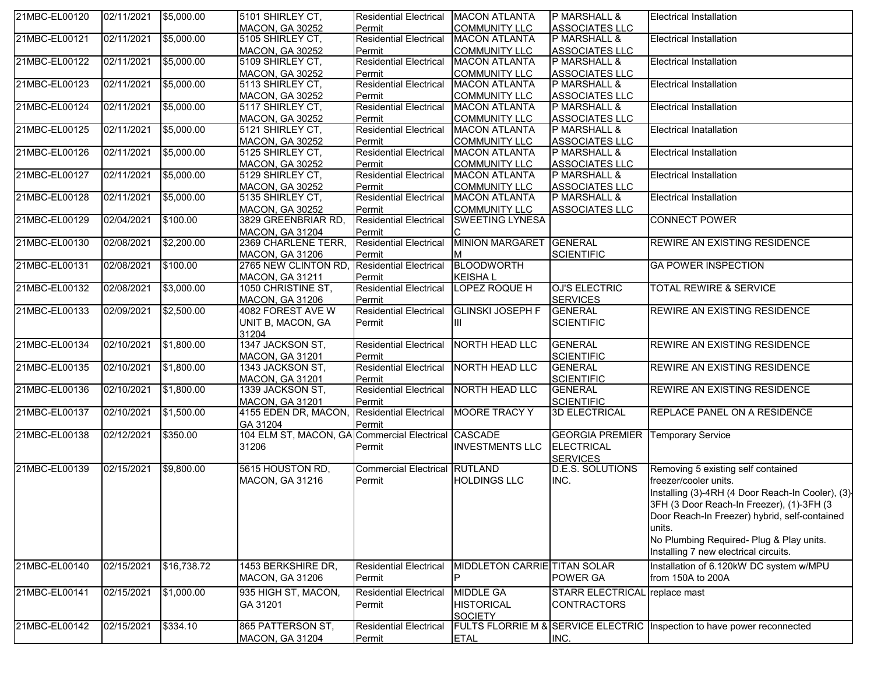| 21MBC-EL00120 | 02/11/2021 | \$5,000.00  | 5101 SHIRLEY CT,                                    | <b>Residential Electrical</b> | <b>MACON ATLANTA</b>         | P MARSHALL &                  | <b>Electrical Installation</b>                                          |
|---------------|------------|-------------|-----------------------------------------------------|-------------------------------|------------------------------|-------------------------------|-------------------------------------------------------------------------|
|               |            |             | MACON, GA 30252                                     | Permit                        | <b>COMMUNITY LLC</b>         | <b>ASSOCIATES LLC</b>         |                                                                         |
| 21MBC-EL00121 | 02/11/2021 | \$5,000.00  | 5105 SHIRLEY CT,                                    | <b>Residential Electrical</b> | <b>MACON ATLANTA</b>         | P MARSHALL &                  | <b>Electrical Installation</b>                                          |
|               |            |             | <b>MACON, GA 30252</b>                              | Permit                        | <b>COMMUNITY LLC</b>         | <b>ASSOCIATES LLC</b>         |                                                                         |
| 21MBC-EL00122 | 02/11/2021 | \$5,000.00  | 5109 SHIRLEY CT,                                    | <b>Residential Electrical</b> | <b>MACON ATLANTA</b>         | P MARSHALL &                  | <b>Electrical Installation</b>                                          |
|               |            |             | <b>MACON, GA 30252</b>                              | Permit                        | <b>COMMUNITY LLC</b>         | <b>ASSOCIATES LLC</b>         |                                                                         |
| 21MBC-EL00123 | 02/11/2021 | \$5,000.00  | 5113 SHIRLEY CT,                                    | <b>Residential Electrical</b> | <b>MACON ATLANTA</b>         | P MARSHALL &                  | <b>Electrical Installation</b>                                          |
|               |            |             | <b>MACON, GA 30252</b>                              | Permit                        | <b>COMMUNITY LLC</b>         | <b>ASSOCIATES LLC</b>         |                                                                         |
| 21MBC-EL00124 | 02/11/2021 | \$5,000.00  | 5117 SHIRLEY CT,                                    | <b>Residential Electrical</b> | <b>MACON ATLANTA</b>         | P MARSHALL &                  | <b>Electrical Installation</b>                                          |
|               |            |             | <b>MACON, GA 30252</b>                              | Permit                        | <b>COMMUNITY LLC</b>         | <b>ASSOCIATES LLC</b>         |                                                                         |
| 21MBC-EL00125 | 02/11/2021 | \$5,000.00  | 5121 SHIRLEY CT,                                    | <b>Residential Electrical</b> | <b>MACON ATLANTA</b>         | P MARSHALL &                  | <b>Electrical Inatallation</b>                                          |
|               |            |             | <b>MACON, GA 30252</b>                              | Permit                        | <b>COMMUNITY LLC</b>         | <b>ASSOCIATES LLC</b>         |                                                                         |
| 21MBC-EL00126 | 02/11/2021 | \$5,000.00  | 5125 SHIRLEY CT,                                    | <b>Residential Electrical</b> | <b>MACON ATLANTA</b>         | P MARSHALL &                  | <b>Electrical Installation</b>                                          |
|               |            |             | <b>MACON, GA 30252</b>                              | Permit                        | <b>COMMUNITY LLC</b>         | <b>ASSOCIATES LLC</b>         |                                                                         |
| 21MBC-EL00127 | 02/11/2021 | \$5,000.00  | 5129 SHIRLEY CT,                                    | <b>Residential Electrical</b> | <b>MACON ATLANTA</b>         | P MARSHALL &                  | <b>Electrical Installation</b>                                          |
|               |            |             | <b>MACON, GA 30252</b>                              | Permit                        | <b>COMMUNITY LLC</b>         | ASSOCIATES LLC                |                                                                         |
| 21MBC-EL00128 | 02/11/2021 | \$5,000.00  | 5135 SHIRLEY CT,                                    | <b>Residential Electrical</b> | <b>MACON ATLANTA</b>         | P MARSHALL &                  | <b>Electrical Installation</b>                                          |
|               |            |             | MACON, GA 30252                                     | Permit                        | <b>COMMUNITY LLC</b>         | <b>ASSOCIATES LLC</b>         |                                                                         |
| 21MBC-EL00129 | 02/04/2021 | \$100.00    | 3829 GREENBRIAR RD,                                 | <b>Residential Electrical</b> | <b>SWEETING LYNESA</b>       |                               | <b>CONNECT POWER</b>                                                    |
|               |            |             | <b>MACON, GA 31204</b>                              | Permit                        | C                            |                               |                                                                         |
| 21MBC-EL00130 | 02/08/2021 | \$2,200.00  | 2369 CHARLENE TERR,                                 | <b>Residential Electrical</b> | MINION MARGARET GENERAL      |                               | <b>REWIRE AN EXISTING RESIDENCE</b>                                     |
|               |            |             | <b>MACON, GA 31206</b>                              | Permit                        | M                            | <b>SCIENTIFIC</b>             |                                                                         |
| 21MBC-EL00131 | 02/08/2021 | \$100.00    | 2765 NEW CLINTON RD,                                | <b>Residential Electrical</b> | <b>BLOODWORTH</b>            |                               | <b>GA POWER INSPECTION</b>                                              |
|               |            |             | <b>MACON, GA 31211</b>                              | Permit                        | <b>KEISHAL</b>               |                               |                                                                         |
| 21MBC-EL00132 | 02/08/2021 | \$3,000.00  | 1050 CHRISTINE ST,                                  | <b>Residential Electrical</b> | LOPEZ ROQUE H                | <b>OJ'S ELECTRIC</b>          | <b>TOTAL REWIRE &amp; SERVICE</b>                                       |
|               |            |             | <b>MACON, GA 31206</b>                              | Permit                        |                              | <b>SERVICES</b>               |                                                                         |
| 21MBC-EL00133 | 02/09/2021 | \$2,500.00  | 4082 FOREST AVE W                                   | <b>Residential Electrical</b> | <b>GLINSKI JOSEPH F</b>      | <b>GENERAL</b>                | REWIRE AN EXISTING RESIDENCE                                            |
|               |            |             |                                                     |                               |                              | <b>SCIENTIFIC</b>             |                                                                         |
|               |            |             | UNIT B, MACON, GA                                   | Permit                        | ШL                           |                               |                                                                         |
| 21MBC-EL00134 |            |             | 31204<br>1347 JACKSON ST,                           |                               | <b>NORTH HEAD LLC</b>        | <b>GENERAL</b>                | REWIRE AN EXISTING RESIDENCE                                            |
|               | 02/10/2021 | \$1,800.00  |                                                     | <b>Residential Electrical</b> |                              |                               |                                                                         |
|               |            |             | <b>MACON, GA 31201</b>                              | Permit                        |                              | <b>SCIENTIFIC</b>             |                                                                         |
| 21MBC-EL00135 | 02/10/2021 | \$1,800.00  | 1343 JACKSON ST,                                    | <b>Residential Electrical</b> | NORTH HEAD LLC               | <b>GENERAL</b>                | REWIRE AN EXISTING RESIDENCE                                            |
|               |            |             | <b>MACON, GA 31201</b>                              | Permit                        |                              | <b>SCIENTIFIC</b>             |                                                                         |
| 21MBC-EL00136 | 02/10/2021 | \$1,800.00  | 1339 JACKSON ST,                                    | <b>Residential Electrical</b> | NORTH HEAD LLC               | <b>GENERAL</b>                | REWIRE AN EXISTING RESIDENCE                                            |
|               |            |             | <b>MACON, GA 31201</b>                              | Permit                        |                              | <b>SCIENTIFIC</b>             |                                                                         |
| 21MBC-EL00137 | 02/10/2021 | \$1,500.00  | 4155 EDEN DR, MACON, Residential Electrical         |                               | MOORE TRACY Y                | <b>3D ELECTRICAL</b>          | <b>REPLACE PANEL ON A RESIDENCE</b>                                     |
|               |            |             | GA 31204                                            | Permit                        |                              |                               |                                                                         |
| 21MBC-EL00138 | 02/12/2021 | \$350.00    | 104 ELM ST, MACON, GA Commercial Electrical CASCADE |                               |                              | <b>GEORGIA PREMIER</b>        | <b>Temporary Service</b>                                                |
|               |            |             | 31206                                               | Permit                        | <b>INVESTMENTS LLC</b>       | <b>ELECTRICAL</b>             |                                                                         |
|               |            |             |                                                     |                               |                              | <b>SERVICES</b>               |                                                                         |
| 21MBC-EL00139 | 02/15/2021 | \$9,800.00  | 5615 HOUSTON RD,                                    | Commercial Electrical RUTLAND |                              | D.E.S. SOLUTIONS              | Removing 5 existing self contained                                      |
|               |            |             | MACON, GA 31216                                     | Permit                        | <b>HOLDINGS LLC</b>          | INC.                          | freezer/cooler units.                                                   |
|               |            |             |                                                     |                               |                              |                               | Installing (3)-4RH (4 Door Reach-In Cooler), (3)                        |
|               |            |             |                                                     |                               |                              |                               | 3FH (3 Door Reach-In Freezer), (1)-3FH (3                               |
|               |            |             |                                                     |                               |                              |                               | Door Reach-In Freezer) hybrid, self-contained                           |
|               |            |             |                                                     |                               |                              |                               | units.                                                                  |
|               |            |             |                                                     |                               |                              |                               | No Plumbing Required- Plug & Play units.                                |
|               |            |             |                                                     |                               |                              |                               | Installing 7 new electrical circuits.                                   |
| 21MBC-EL00140 | 02/15/2021 | \$16,738.72 | 1453 BERKSHIRE DR,                                  | <b>Residential Electrical</b> | MIDDLETON CARRIE TITAN SOLAR |                               | Installation of 6.120kW DC system w/MPU                                 |
|               |            |             |                                                     |                               | P                            |                               |                                                                         |
|               |            |             | MACON, GA 31206                                     | Permit                        |                              | POWER GA                      | from 150A to 200A                                                       |
| 21MBC-EL00141 | 02/15/2021 | \$1,000.00  | 935 HIGH ST, MACON,                                 | <b>Residential Electrical</b> | <b>MIDDLE GA</b>             | STARR ELECTRICAL replace mast |                                                                         |
|               |            |             | GA 31201                                            | Permit                        | <b>HISTORICAL</b>            | <b>CONTRACTORS</b>            |                                                                         |
|               |            |             |                                                     |                               | <b>SOCIETY</b>               |                               |                                                                         |
| 21MBC-EL00142 | 02/15/2021 | \$334.10    | 865 PATTERSON ST,                                   | <b>Residential Electrical</b> |                              |                               | FULTS FLORRIE M & SERVICE ELECTRIC Inspection to have power reconnected |
|               |            |             | <b>MACON, GA 31204</b>                              | Permit                        | <b>ETAL</b>                  | INC.                          |                                                                         |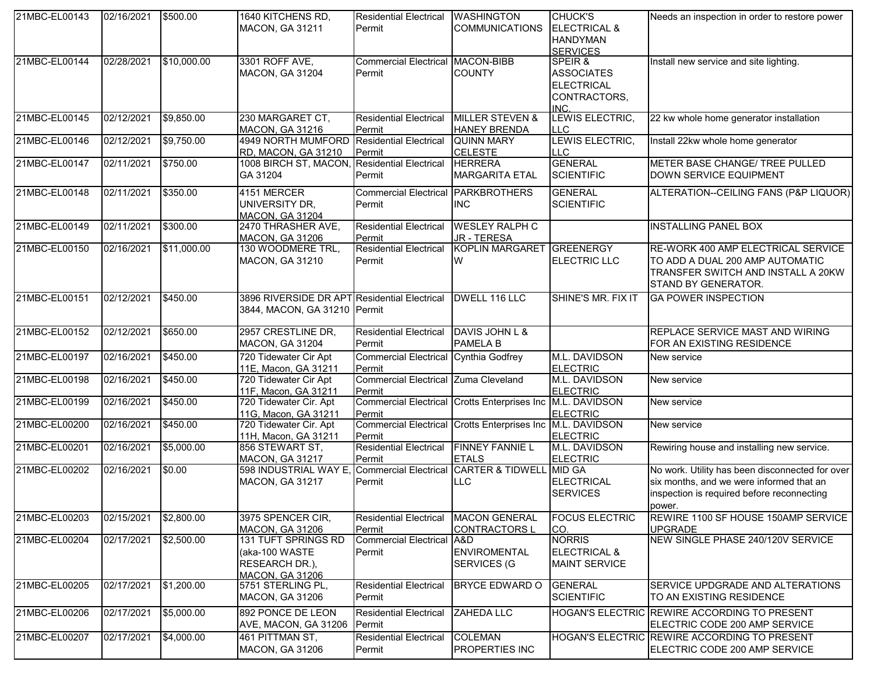| 21MBC-EL00143 | 02/16/2021 | \$500.00    | 1640 KITCHENS RD,                            | <b>Residential Electrical</b>         | <b>WASHINGTON</b>                                          | <b>CHUCK'S</b>          | Needs an inspection in order to restore power   |
|---------------|------------|-------------|----------------------------------------------|---------------------------------------|------------------------------------------------------------|-------------------------|-------------------------------------------------|
|               |            |             | MACON, GA 31211                              | Permit                                | <b>COMMUNICATIONS</b>                                      | <b>ELECTRICAL &amp;</b> |                                                 |
|               |            |             |                                              |                                       |                                                            | <b>HANDYMAN</b>         |                                                 |
|               |            |             |                                              |                                       |                                                            | <b>SERVICES</b>         |                                                 |
| 21MBC-EL00144 | 02/28/2021 | \$10,000.00 | 3301 ROFF AVE,                               | Commercial Electrical MACON-BIBB      |                                                            | SPEIR &                 | Install new service and site lighting.          |
|               |            |             | <b>MACON, GA 31204</b>                       | Permit                                | <b>COUNTY</b>                                              | <b>ASSOCIATES</b>       |                                                 |
|               |            |             |                                              |                                       |                                                            | <b>ELECTRICAL</b>       |                                                 |
|               |            |             |                                              |                                       |                                                            | CONTRACTORS,            |                                                 |
|               |            |             |                                              |                                       |                                                            | INC.                    |                                                 |
| 21MBC-EL00145 | 02/12/2021 | \$9,850.00  | 230 MARGARET CT,                             | <b>Residential Electrical</b>         | <b>MILLER STEVEN &amp;</b>                                 | LEWIS ELECTRIC,         | 22 kw whole home generator installation         |
|               |            |             | <b>MACON, GA 31216</b>                       | Permit                                | <b>HANEY BRENDA</b>                                        | <b>LLC</b>              |                                                 |
| 21MBC-EL00146 | 02/12/2021 | \$9,750.00  | 4949 NORTH MUMFORD Residential Electrical    |                                       | <b>QUINN MARY</b>                                          | LEWIS ELECTRIC,         | Install 22kw whole home generator               |
|               |            |             | <b>RD, MACON, GA 31210</b>                   | Permit                                | <b>CELESTE</b>                                             | <b>LLC</b>              |                                                 |
| 21MBC-EL00147 | 02/11/2021 | \$750.00    | 1008 BIRCH ST, MACON, Residential Electrical |                                       | <b>HERRERA</b>                                             | <b>GENERAL</b>          | METER BASE CHANGE/ TREE PULLED                  |
|               |            |             | GA 31204                                     | Permit                                | <b>MARGARITA ETAL</b>                                      | <b>SCIENTIFIC</b>       | DOWN SERVICE EQUIPMENT                          |
| 21MBC-EL00148 | 02/11/2021 | \$350.00    | 4151 MERCER                                  | Commercial Electrical PARKBROTHERS    |                                                            | <b>GENERAL</b>          | ALTERATION--CEILING FANS (P&P LIQUOR)           |
|               |            |             | UNIVERSITY DR,                               | Permit                                | <b>INC</b>                                                 | <b>SCIENTIFIC</b>       |                                                 |
|               |            |             | <b>MACON, GA 31204</b>                       |                                       |                                                            |                         |                                                 |
| 21MBC-EL00149 | 02/11/2021 | \$300.00    | 2470 THRASHER AVE,                           | <b>Residential Electrical</b>         | <b>WESLEY RALPH C</b>                                      |                         | <b>INSTALLING PANEL BOX</b>                     |
|               |            |             | MACON, GA 31206                              | Permit                                | <b>JR - TERESA</b>                                         |                         |                                                 |
| 21MBC-EL00150 | 02/16/2021 | \$11,000.00 | 130 WOODMERE TRL,                            | <b>Residential Electrical</b>         | KOPLIN MARGARET GREENERGY                                  |                         | RE-WORK 400 AMP ELECTRICAL SERVICE              |
|               |            |             | <b>MACON, GA 31210</b>                       | Permit                                | W                                                          | ELECTRIC LLC            | TO ADD A DUAL 200 AMP AUTOMATIC                 |
|               |            |             |                                              |                                       |                                                            |                         | TRANSFER SWITCH AND INSTALL A 20KW              |
|               |            |             |                                              |                                       |                                                            |                         | STAND BY GENERATOR.                             |
|               |            |             |                                              |                                       |                                                            |                         |                                                 |
| 21MBC-EL00151 | 02/12/2021 | \$450.00    | 3896 RIVERSIDE DR APT Residential Electrical |                                       | DWELL 116 LLC                                              | SHINE'S MR. FIX IT      | <b>GA POWER INSPECTION</b>                      |
|               |            |             | 3844, MACON, GA 31210 Permit                 |                                       |                                                            |                         |                                                 |
|               |            |             |                                              |                                       |                                                            |                         |                                                 |
| 21MBC-EL00152 | 02/12/2021 | \$650.00    | 2957 CRESTLINE DR,                           | <b>Residential Electrical</b>         | DAVIS JOHN L &                                             |                         | <b>REPLACE SERVICE MAST AND WIRING</b>          |
|               |            |             | <b>MACON, GA 31204</b>                       | Permit                                | PAMELA B                                                   |                         | FOR AN EXISTING RESIDENCE                       |
| 21MBC-EL00197 | 02/16/2021 | \$450.00    | 720 Tidewater Cir Apt                        | Commercial Electrical Cynthia Godfrey |                                                            | M.L. DAVIDSON           | New service                                     |
|               |            |             | 11E, Macon, GA 31211                         | Permit                                |                                                            | <b>ELECTRIC</b>         |                                                 |
| 21MBC-EL00198 | 02/16/2021 | \$450.00    | 720 Tidewater Cir Apt                        | Commercial Electrical Zuma Cleveland  |                                                            | M.L. DAVIDSON           | New service                                     |
|               |            |             | 11F, Macon, GA 31211                         | Permit                                |                                                            | <b>ELECTRIC</b>         |                                                 |
| 21MBC-EL00199 | 02/16/2021 | \$450.00    | 720 Tidewater Cir. Apt                       |                                       | Commercial Electrical Crotts Enterprises Inc M.L. DAVIDSON |                         | New service                                     |
|               |            |             | 11G, Macon, GA 31211                         | Permit                                |                                                            | <b>ELECTRIC</b>         |                                                 |
| 21MBC-EL00200 | 02/16/2021 | \$450.00    | 720 Tidewater Cir. Apt                       |                                       | Commercial Electrical Crotts Enterprises Inc M.L. DAVIDSON |                         | New service                                     |
|               |            |             | 11H, Macon, GA 31211                         | Permit                                |                                                            | <b>ELECTRIC</b>         |                                                 |
| 21MBC-EL00201 | 02/16/2021 | \$5,000.00  | 856 STEWART ST,                              | <b>Residential Electrical</b>         | <b>FINNEY FANNIE L</b>                                     | M.L. DAVIDSON           | Rewiring house and installing new service.      |
|               |            |             | <b>MACON, GA 31217</b>                       | Permit                                | <b>ETALS</b>                                               | <b>ELECTRIC</b>         |                                                 |
| 21MBC-EL00202 | 02/16/2021 | \$0.00      | 598 INDUSTRIAL WAY E,                        | <b>Commercial Electrical</b>          | <b>CARTER &amp; TIDWELL</b>                                | MID GA                  | No work. Utility has been disconnected for over |
|               |            |             | MACON, GA 31217                              | Permit                                | <b>LLC</b>                                                 | <b>ELECTRICAL</b>       | six months, and we were informed that an        |
|               |            |             |                                              |                                       |                                                            | <b>SERVICES</b>         | inspection is required before reconnecting      |
|               |            |             |                                              |                                       |                                                            |                         | power.                                          |
| 21MBC-EL00203 | 02/15/2021 | \$2,800.00  | 3975 SPENCER CIR.                            | <b>Residential Electrical</b>         | <b>MACON GENERAL</b>                                       | <b>FOCUS ELECTRIC</b>   | REWIRE 1100 SF HOUSE 150AMP SERVICE             |
|               |            |             | MACON, GA 31206                              | Permit                                | <b>CONTRACTORS L</b>                                       | CO.                     | <b>UPGRADE</b>                                  |
| 21MBC-EL00204 | 02/17/2021 | \$2,500.00  | 131 TUFT SPRINGS RD                          | <b>Commercial Electrical A&amp;D</b>  |                                                            | <b>NORRIS</b>           | NEW SINGLE PHASE 240/120V SERVICE               |
|               |            |             | (aka-100 WASTE                               | Permit                                | <b>ENVIROMENTAL</b>                                        | <b>ELECTRICAL &amp;</b> |                                                 |
|               |            |             | RESEARCH DR.),                               |                                       | SERVICES (G                                                | <b>MAINT SERVICE</b>    |                                                 |
|               |            |             | <b>MACON. GA 31206</b>                       |                                       |                                                            |                         |                                                 |
| 21MBC-EL00205 | 02/17/2021 | \$1,200.00  | 5751 STERLING PL,                            | <b>Residential Electrical</b>         | <b>BRYCE EDWARD O</b>                                      | <b>GENERAL</b>          | SERVICE UPDGRADE AND ALTERATIONS                |
|               |            |             | MACON, GA 31206                              | Permit                                |                                                            | <b>SCIENTIFIC</b>       | TO AN EXISTING RESIDENCE                        |
| 21MBC-EL00206 | 02/17/2021 | \$5,000.00  | 892 PONCE DE LEON                            | <b>Residential Electrical</b>         | <b>ZAHEDA LLC</b>                                          |                         | HOGAN'S ELECTRIC REWIRE ACCORDING TO PRESENT    |
|               |            |             | AVE, MACON, GA 31206                         | Permit                                |                                                            |                         | ELECTRIC CODE 200 AMP SERVICE                   |
| 21MBC-EL00207 | 02/17/2021 | \$4,000.00  | 461 PITTMAN ST,                              | <b>Residential Electrical</b>         | <b>COLEMAN</b>                                             |                         | HOGAN'S ELECTRIC REWIRE ACCORDING TO PRESENT    |
|               |            |             | <b>MACON, GA 31206</b>                       | Permit                                | <b>PROPERTIES INC</b>                                      |                         | ELECTRIC CODE 200 AMP SERVICE                   |
|               |            |             |                                              |                                       |                                                            |                         |                                                 |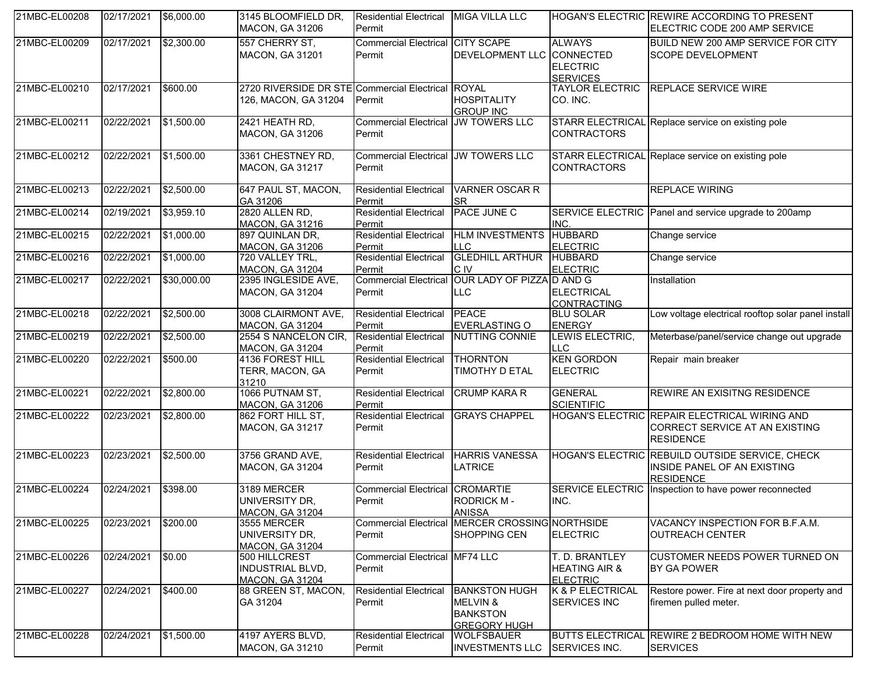| 21MBC-EL00208 | 02/17/2021 | \$6,000.00  | 3145 BLOOMFIELD DR,<br><b>MACON, GA 31206</b>                             | <b>Residential Electrical</b><br>Permit              | <b>MIGA VILLA LLC</b>                                                                 |                                                               | <b>HOGAN'S ELECTRIC REWIRE ACCORDING TO PRESENT</b><br>ELECTRIC CODE 200 AMP SERVICE                |
|---------------|------------|-------------|---------------------------------------------------------------------------|------------------------------------------------------|---------------------------------------------------------------------------------------|---------------------------------------------------------------|-----------------------------------------------------------------------------------------------------|
| 21MBC-EL00209 | 02/17/2021 | \$2,300.00  | 557 CHERRY ST,<br>MACON, GA 31201                                         | <b>Commercial Electrical CITY SCAPE</b><br>Permit    | DEVELOPMENT LLC CONNECTED                                                             | <b>ALWAYS</b><br><b>ELECTRIC</b><br><b>SERVICES</b>           | BUILD NEW 200 AMP SERVICE FOR CITY<br><b>SCOPE DEVELOPMENT</b>                                      |
| 21MBC-EL00210 | 02/17/2021 | \$600.00    | 2720 RIVERSIDE DR STE Commercial Electrical ROYAL<br>126, MACON, GA 31204 | Permit                                               | <b>HOSPITALITY</b><br><b>GROUP INC</b>                                                | <b>TAYLOR ELECTRIC</b><br>CO. INC.                            | <b>REPLACE SERVICE WIRE</b>                                                                         |
| 21MBC-EL00211 | 02/22/2021 | \$1,500.00  | 2421 HEATH RD,<br><b>MACON, GA 31206</b>                                  | <b>Commercial Electrical JW TOWERS LLC</b><br>Permit |                                                                                       | <b>CONTRACTORS</b>                                            | STARR ELECTRICAL Replace service on existing pole                                                   |
| 21MBC-EL00212 | 02/22/2021 | \$1,500.00  | 3361 CHESTNEY RD,<br><b>MACON, GA 31217</b>                               | <b>Commercial Electrical JW TOWERS LLC</b><br>Permit |                                                                                       | <b>CONTRACTORS</b>                                            | STARR ELECTRICAL Replace service on existing pole                                                   |
| 21MBC-EL00213 | 02/22/2021 | \$2,500.00  | 647 PAUL ST, MACON,<br>GA 31206                                           | <b>Residential Electrical</b><br>Permit              | VARNER OSCAR R<br><b>SR</b>                                                           |                                                               | <b>REPLACE WIRING</b>                                                                               |
| 21MBC-EL00214 | 02/19/2021 | \$3,959.10  | 2820 ALLEN RD,<br><b>MACON, GA 31216</b>                                  | <b>Residential Electrical</b><br>Permit              | <b>PACE JUNE C</b>                                                                    | INC.                                                          | SERVICE ELECTRIC Panel and service upgrade to 200amp                                                |
| 21MBC-EL00215 | 02/22/2021 | \$1,000.00  | 897 QUINLAN DR,<br><b>MACON, GA 31206</b>                                 | <b>Residential Electrical</b><br>Permit              | <b>HLM INVESTMENTS</b><br>II C                                                        | <b>HUBBARD</b><br><b>ELECTRIC</b>                             | Change service                                                                                      |
| 21MBC-EL00216 | 02/22/2021 | \$1,000.00  | 720 VALLEY TRL,<br><b>MACON, GA 31204</b>                                 | <b>Residential Electrical</b><br>Permit              | <b>GLEDHILL ARTHUR</b><br>IC IV                                                       | <b>HUBBARD</b><br><b>ELECTRIC</b>                             | Change service                                                                                      |
| 21MBC-EL00217 | 02/22/2021 | \$30,000.00 | 2395 INGLESIDE AVE,<br><b>MACON, GA 31204</b>                             | Permit                                               | Commercial Electrical OUR LADY OF PIZZA D AND G<br><b>ILLC</b>                        | <b>ELECTRICAL</b><br><b>CONTRACTING</b>                       | Installation                                                                                        |
| 21MBC-EL00218 | 02/22/2021 | \$2,500.00  | 3008 CLAIRMONT AVE,<br><b>MACON, GA 31204</b>                             | <b>Residential Electrical</b><br>Permit              | PEACE<br><b>EVERLASTING O</b>                                                         | <b>BLU SOLAR</b><br><b>ENERGY</b>                             | Low voltage electrical rooftop solar panel install                                                  |
| 21MBC-EL00219 | 02/22/2021 | \$2,500.00  | 2554 S NANCELON CIR,<br>MACON, GA 31204                                   | <b>Residential Electrical</b><br>Permit              | NUTTING CONNIE                                                                        | LEWIS ELECTRIC,<br><b>LLC</b>                                 | Meterbase/panel/service change out upgrade                                                          |
| 21MBC-EL00220 | 02/22/2021 | \$500.00    | 4136 FOREST HILL<br>TERR, MACON, GA<br>31210                              | <b>Residential Electrical</b><br>Permit              | <b>THORNTON</b><br><b>TIMOTHY D ETAL</b>                                              | <b>KEN GORDON</b><br><b>ELECTRIC</b>                          | Repair main breaker                                                                                 |
| 21MBC-EL00221 | 02/22/2021 | \$2,800.00  | 1066 PUTNAM ST,<br><b>MACON, GA 31206</b>                                 | <b>Residential Electrical</b><br>Permit              | <b>CRUMP KARA R</b>                                                                   | <b>GENERAL</b><br><b>SCIENTIFIC</b>                           | REWIRE AN EXISITNG RESIDENCE                                                                        |
| 21MBC-EL00222 | 02/23/2021 | \$2,800.00  | 862 FORT HILL ST,<br>MACON, GA 31217                                      | <b>Residential Electrical</b><br>Permit              | <b>GRAYS CHAPPEL</b>                                                                  |                                                               | HOGAN'S ELECTRIC REPAIR ELECTRICAL WIRING AND<br>CORRECT SERVICE AT AN EXISTING<br><b>RESIDENCE</b> |
| 21MBC-EL00223 | 02/23/2021 | \$2,500.00  | 3756 GRAND AVE,<br><b>MACON, GA 31204</b>                                 | <b>Residential Electrical</b><br>Permit              | <b>HARRIS VANESSA</b><br><b>LATRICE</b>                                               |                                                               | HOGAN'S ELECTRIC REBUILD OUTSIDE SERVICE, CHECK<br>INSIDE PANEL OF AN EXISTING<br><b>RESIDENCE</b>  |
| 21MBC-EL00224 | 02/24/2021 | \$398.00    | 3189 MERCER<br>UNIVERSITY DR.<br><b>MACON, GA 31204</b>                   | <b>Commercial Electrical CROMARTIE</b><br>Permit     | <b>RODRICK M-</b><br><b>ANISSA</b>                                                    | <b>SERVICE ELECTRIC</b><br>INC.                               | Inspection to have power reconnected                                                                |
| 21MBC-EL00225 | 02/23/2021 | \$200.00    | 3555 MERCER<br>UNIVERSITY DR,<br><b>MACON, GA 31204</b>                   | Permit                                               | Commercial Electrical MERCER CROSSING NORTHSIDE<br>SHOPPING CEN                       | <b>ELECTRIC</b>                                               | VACANCY INSPECTION FOR B.F.A.M.<br><b>OUTREACH CENTER</b>                                           |
| 21MBC-EL00226 | 02/24/2021 | \$0.00      | 500 HILLCREST<br><b>INDUSTRIAL BLVD,</b><br><b>MACON, GA 31204</b>        | Commercial Electrical MF74 LLC<br>Permit             |                                                                                       | T. D. BRANTLEY<br><b>HEATING AIR &amp;</b><br><b>ELECTRIC</b> | <b>CUSTOMER NEEDS POWER TURNED ON</b><br>BY GA POWER                                                |
| 21MBC-EL00227 | 02/24/2021 | \$400.00    | 88 GREEN ST, MACON,<br>GA 31204                                           | <b>Residential Electrical</b><br>Permit              | <b>BANKSTON HUGH</b><br><b>MELVIN &amp;</b><br><b>BANKSTON</b><br><b>GREGORY HUGH</b> | K & P ELECTRICAL<br><b>SERVICES INC</b>                       | Restore power. Fire at next door property and<br>firemen pulled meter.                              |
| 21MBC-EL00228 | 02/24/2021 | \$1,500.00  | 4197 AYERS BLVD,<br>MACON, GA 31210                                       | <b>Residential Electrical</b><br>Permit              | <b>WOLFSBAUER</b><br><b>INVESTMENTS LLC</b>                                           | SERVICES INC.                                                 | BUTTS ELECTRICAL REWIRE 2 BEDROOM HOME WITH NEW<br><b>SERVICES</b>                                  |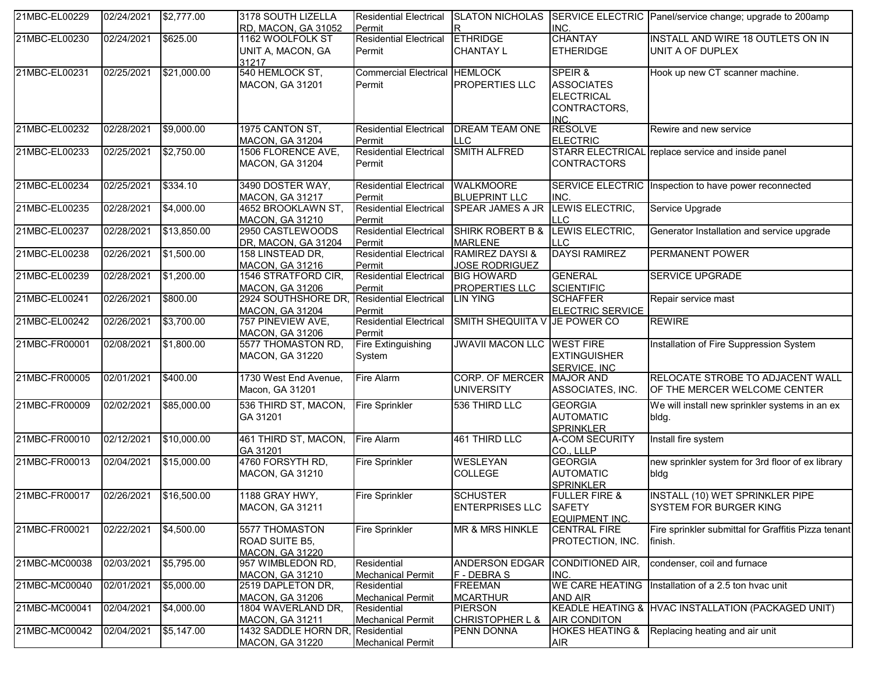| 21MBC-EL00229 | 02/24/2021 | \$2,777.00         | 3178 SOUTH LIZELLA<br>RD, MACON, GA 31052                  | <b>Residential Electrical</b><br>Permit        | IR.                                                 | INC.                                                                      | SLATON NICHOLAS SERVICE ELECTRIC Panel/service change; upgrade to 200amp |
|---------------|------------|--------------------|------------------------------------------------------------|------------------------------------------------|-----------------------------------------------------|---------------------------------------------------------------------------|--------------------------------------------------------------------------|
| 21MBC-EL00230 | 02/24/2021 | \$625.00           | 1162 WOOLFOLK ST<br>UNIT A, MACON, GA<br>31217             | <b>Residential Electrical</b><br>Permit        | <b>ETHRIDGE</b><br><b>CHANTAY L</b>                 | <b>CHANTAY</b><br><b>ETHERIDGE</b>                                        | INSTALL AND WIRE 18 OUTLETS ON IN<br>UNIT A OF DUPLEX                    |
| 21MBC-EL00231 | 02/25/2021 | \$21,000.00        | 540 HEMLOCK ST,<br>MACON, GA 31201                         | <b>Commercial Electrical HEMLOCK</b><br>Permit | <b>PROPERTIES LLC</b>                               | SPEIR &<br><b>ASSOCIATES</b><br><b>ELECTRICAL</b><br>CONTRACTORS,<br>INC. | Hook up new CT scanner machine.                                          |
| 21MBC-EL00232 | 02/28/2021 | \$9,000.00         | 1975 CANTON ST,<br><b>MACON, GA 31204</b>                  | <b>Residential Electrical</b><br>Permit        | <b>DREAM TEAM ONE</b><br><b>LLC</b>                 | <b>RESOLVE</b><br><b>ELECTRIC</b>                                         | Rewire and new service                                                   |
| 21MBC-EL00233 | 02/25/2021 | \$2,750.00         | 1506 FLORENCE AVE,<br>MACON, GA 31204                      | <b>Residential Electrical</b><br>Permit        | <b>SMITH ALFRED</b>                                 | <b>STARR ELECTRICAL</b><br><b>CONTRACTORS</b>                             | replace service and inside panel                                         |
| 21MBC-EL00234 | 02/25/2021 | \$334.10           | 3490 DOSTER WAY,<br><b>MACON, GA 31217</b>                 | <b>Residential Electrical</b><br>Permit        | <b>WALKMOORE</b><br><b>BLUEPRINT LLC</b>            | <b>SERVICE ELECTRIC</b><br>INC.                                           | Inspection to have power reconnected                                     |
| 21MBC-EL00235 | 02/28/2021 | \$4,000.00         | 4652 BROOKLAWN ST,<br><b>MACON, GA 31210</b>               | <b>Residential Electrical</b><br>Permit        | <b>SPEAR JAMES A JR</b>                             | LEWIS ELECTRIC,<br><b>LLC</b>                                             | Service Upgrade                                                          |
| 21MBC-EL00237 | 02/28/2021 | \$13,850.00        | 2950 CASTLEWOODS<br>DR, MACON, GA 31204                    | <b>Residential Electrical</b><br>Permit        | SHIRK ROBERT B &<br><b>MARLENE</b>                  | LEWIS ELECTRIC,<br><b>LLC</b>                                             | Generator Installation and service upgrade                               |
| 21MBC-EL00238 | 02/26/2021 | \$1,500.00         | 158 LINSTEAD DR,<br><b>MACON, GA 31216</b>                 | <b>Residential Electrical</b><br>Permit        | <b>RAMIREZ DAYSI &amp;</b><br><b>JOSE RODRIGUEZ</b> | <b>DAYSI RAMIREZ</b>                                                      | <b>PERMANENT POWER</b>                                                   |
| 21MBC-EL00239 | 02/28/2021 | \$1,200.00         | 1546 STRATFORD CIR,<br><b>MACON, GA 31206</b>              | <b>Residential Electrical</b><br>Permit        | <b>BIG HOWARD</b><br><b>PROPERTIES LLC</b>          | <b>GENERAL</b><br><b>SCIENTIFIC</b>                                       | <b>SERVICE UPGRADE</b>                                                   |
| 21MBC-EL00241 | 02/26/2021 | \$800.00           | 2924 SOUTHSHORE DR.<br><b>MACON, GA 31204</b>              | <b>Residential Electrical</b><br>Permit        | <b>LIN YING</b>                                     | <b>SCHAFFER</b><br><b>ELECTRIC SERVICE</b>                                | Repair service mast                                                      |
| 21MBC-EL00242 | 02/26/2021 | \$3,700.00         | 757 PINEVIEW AVE,<br><b>MACON, GA 31206</b>                | <b>Residential Electrical</b><br>Permit        | SMITH SHEQUIITA V JE POWER CO                       |                                                                           | <b>REWIRE</b>                                                            |
| 21MBC-FR00001 | 02/08/2021 | \$1,800.00         | 5577 THOMASTON RD,<br>MACON, GA 31220                      | Fire Extinguishing<br>System                   | <b>JWAVII MACON LLC</b>                             | <b>WEST FIRE</b><br><b>EXTINGUISHER</b><br>SERVICE, INC                   | Installation of Fire Suppression System                                  |
| 21MBC-FR00005 | 02/01/2021 | \$400.00           | 1730 West End Avenue,<br>Macon, GA 31201                   | <b>Fire Alarm</b>                              | <b>CORP. OF MERCER</b><br><b>UNIVERSITY</b>         | <b>MAJOR AND</b><br>ASSOCIATES, INC.                                      | RELOCATE STROBE TO ADJACENT WALL<br>OF THE MERCER WELCOME CENTER         |
| 21MBC-FR00009 | 02/02/2021 | \$85,000.00        | 536 THIRD ST, MACON,<br>GA 31201                           | <b>Fire Sprinkler</b>                          | 536 THIRD LLC                                       | <b>GEORGIA</b><br><b>AUTOMATIC</b><br><b>SPRINKLER</b>                    | We will install new sprinkler systems in an ex<br>bldg.                  |
| 21MBC-FR00010 | 02/12/2021 | \$10,000.00        | 461 THIRD ST, MACON,<br>GA 31201                           | <b>Fire Alarm</b>                              | 461 THIRD LLC                                       | <b>A-COM SECURITY</b><br>CO., LLLP                                        | Install fire system                                                      |
| 21MBC-FR00013 | 02/04/2021 | \$15,000.00        | 4760 FORSYTH RD,<br>MACON, GA 31210                        | <b>Fire Sprinkler</b>                          | <b>WESLEYAN</b><br><b>COLLEGE</b>                   | <b>GEORGIA</b><br><b>AUTOMATIC</b><br><b>SPRINKLER</b>                    | new sprinkler system for 3rd floor of ex library<br>bldg                 |
| 21MBC-FR00017 | 02/26/2021 | \$16,500.00        | 1188 GRAY HWY,<br>MACON, GA 31211                          | <b>Fire Sprinkler</b>                          | <b>SCHUSTER</b><br><b>ENTERPRISES LLC</b>           | <b>FULLER FIRE &amp;</b><br><b>SAFETY</b><br>EQUIPMENT INC.               | <b>INSTALL (10) WET SPRINKLER PIPE</b><br>SYSTEM FOR BURGER KING         |
| 21MBC-FR00021 | 02/22/2021 | \$4,500.00         | 5577 THOMASTON<br>ROAD SUITE B5,<br><b>MACON, GA 31220</b> | <b>Fire Sprinkler</b>                          | MR & MRS HINKLE                                     | <b>CENTRAL FIRE</b><br>PROTECTION, INC.                                   | Fire sprinkler submittal for Graffitis Pizza tenant<br>finish.           |
| 21MBC-MC00038 | 02/03/2021 | \$5,795.00         | 957 WIMBLEDON RD,<br><u>MACON, GA 31210</u>                | Residential<br><b>Mechanical Permit</b>        | <b>ANDERSON EDGAR</b><br>F - DEBRA S                | CONDITIONED AIR,<br>INC.                                                  | condenser, coil and furnace                                              |
| 21MBC-MC00040 | 02/01/2021 | \$5,000.00         | 2519 DAPLETON DR,<br><b>MACON, GA 31206</b>                | Residential<br><b>Mechanical Permit</b>        | <b>FREEMAN</b><br><b>MCARTHUR</b>                   | <b>WE CARE HEATING</b><br>AND AIR                                         | Installation of a 2.5 ton hvac unit                                      |
| 21MBC-MC00041 | 02/04/2021 | $\sqrt{$4,000.00}$ | 1804 WAVERLAND DR,<br><b>MACON, GA 31211</b>               | Residential<br><b>Mechanical Permit</b>        | <b>PIERSON</b><br><b>CHRISTOPHER L &amp;</b>        | <b>AIR CONDITON</b>                                                       | KEADLE HEATING & HVAC INSTALLATION (PACKAGED UNIT)                       |
| 21MBC-MC00042 | 02/04/2021 | \$5,147.00         | 1432 SADDLE HORN DR,<br><b>MACON, GA 31220</b>             | Residential<br><b>Mechanical Permit</b>        | PENN DONNA                                          | <b>HOKES HEATING &amp;</b><br><b>AIR</b>                                  | Replacing heating and air unit                                           |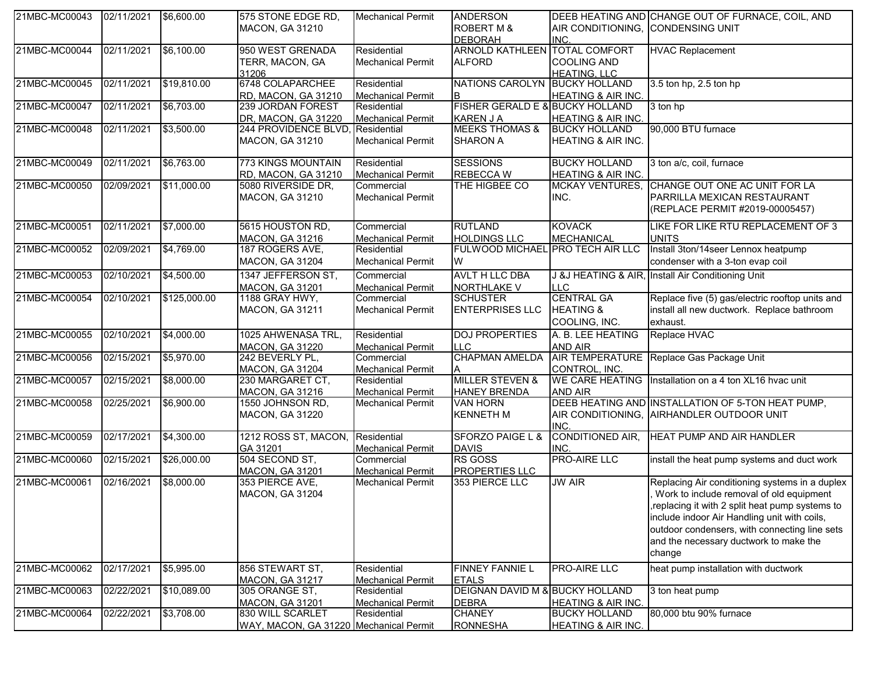| 21MBC-MC00043 02/11/2021 |            | \$6,600.00   | 575 STONE EDGE RD,<br><b>MACON, GA 31210</b> | <b>Mechanical Permit</b> | <b>ANDERSON</b><br><b>ROBERT M &amp;</b>   | AIR CONDITIONING, CONDENSING UNIT | DEEB HEATING AND CHANGE OUT OF FURNACE, COIL, AND |
|--------------------------|------------|--------------|----------------------------------------------|--------------------------|--------------------------------------------|-----------------------------------|---------------------------------------------------|
|                          |            |              |                                              |                          | <b>DEBORAH</b>                             | INC.                              |                                                   |
| 21MBC-MC00044            | 02/11/2021 | \$6,100.00   | 950 WEST GRENADA                             | Residential              | ARNOLD KATHLEEN TOTAL COMFORT              |                                   | <b>HVAC Replacement</b>                           |
|                          |            |              | TERR, MACON, GA                              | <b>Mechanical Permit</b> | <b>ALFORD</b>                              | <b>COOLING AND</b>                |                                                   |
|                          |            |              | 31206                                        |                          |                                            | <b>HEATING, LLC</b>               |                                                   |
| 21MBC-MC00045            | 02/11/2021 | \$19,810.00  | 6748 COLAPARCHEE                             | Residential              | NATIONS CAROLYN BUCKY HOLLAND              |                                   | 3.5 ton hp, 2.5 ton hp                            |
|                          |            |              | <b>RD, MACON, GA 31210</b>                   | <b>Mechanical Permit</b> | B                                          | <b>HEATING &amp; AIR INC.</b>     |                                                   |
| 21MBC-MC00047            | 02/11/2021 | \$6,703.00   | 239 JORDAN FOREST                            | Residential              | FISHER GERALD E & BUCKY HOLLAND            |                                   | 3 ton hp                                          |
|                          |            |              | DR, MACON, GA 31220                          | <b>Mechanical Permit</b> | <b>KAREN J A</b>                           | HEATING & AIR INC.                |                                                   |
| 21MBC-MC00048            | 02/11/2021 | \$3,500.00   | 244 PROVIDENCE BLVD,                         | Residential              | <b>MEEKS THOMAS &amp;</b>                  | <b>BUCKY HOLLAND</b>              | 90,000 BTU furnace                                |
|                          |            |              | MACON, GA 31210                              | <b>Mechanical Permit</b> | <b>SHARON A</b>                            | HEATING & AIR INC.                |                                                   |
|                          |            |              |                                              |                          |                                            |                                   |                                                   |
| 21MBC-MC00049            | 02/11/2021 | \$6,763.00   | 773 KINGS MOUNTAIN                           | Residential              | <b>SESSIONS</b>                            | <b>BUCKY HOLLAND</b>              | 3 ton a/c, coil, furnace                          |
|                          |            |              | RD, MACON, GA 31210                          | <b>Mechanical Permit</b> | <b>REBECCAW</b>                            | HEATING & AIR INC.                |                                                   |
| 21MBC-MC00050            | 02/09/2021 | \$11,000.00  | 5080 RIVERSIDE DR,                           | Commercial               | THE HIGBEE CO                              | <b>MCKAY VENTURES,</b>            | CHANGE OUT ONE AC UNIT FOR LA                     |
|                          |            |              | <b>MACON, GA 31210</b>                       | <b>Mechanical Permit</b> |                                            | INC.                              | PARRILLA MEXICAN RESTAURANT                       |
|                          |            |              |                                              |                          |                                            |                                   | (REPLACE PERMIT #2019-00005457)                   |
| 21MBC-MC00051            | 02/11/2021 | \$7,000.00   | 5615 HOUSTON RD,                             | Commercial               | <b>RUTLAND</b>                             | <b>KOVACK</b>                     | LIKE FOR LIKE RTU REPLACEMENT OF 3                |
|                          |            |              | MACON, GA 31216                              | <b>Mechanical Permit</b> | <b>HOLDINGS LLC</b>                        | <b>MECHANICAL</b>                 | <b>UNITS</b>                                      |
| 21MBC-MC00052            | 02/09/2021 | \$4,769.00   | 187 ROGERS AVE,                              | Residential              | FULWOOD MICHAEL PRO TECH AIR LLC           |                                   | Install 3ton/14seer Lennox heatpump               |
|                          |            |              | MACON, GA 31204                              | <b>Mechanical Permit</b> | W                                          |                                   | condenser with a 3-ton evap coil                  |
| 21MBC-MC00053            | 02/10/2021 | \$4,500.00   | 1347 JEFFERSON ST,                           | Commercial               | <b>AVLT H LLC DBA</b>                      | J &J HEATING & AIR,               | Install Air Conditioning Unit                     |
|                          |            |              | <b>MACON, GA 31201</b>                       | <b>Mechanical Permit</b> | NORTHLAKE V                                | <b>LLC</b>                        |                                                   |
| 21MBC-MC00054            | 02/10/2021 | \$125,000.00 | 1188 GRAY HWY,                               | Commercial               | <b>SCHUSTER</b>                            | <b>CENTRAL GA</b>                 | Replace five (5) gas/electric rooftop units and   |
|                          |            |              | <b>MACON, GA 31211</b>                       | <b>Mechanical Permit</b> | <b>ENTERPRISES LLC</b>                     | <b>HEATING &amp;</b>              | install all new ductwork. Replace bathroom        |
|                          |            |              |                                              |                          |                                            | COOLING, INC.                     | exhaust.                                          |
| 21MBC-MC00055            | 02/10/2021 | \$4,000.00   | 1025 AHWENASA TRL,                           | Residential              | <b>DOJ PROPERTIES</b>                      | A. B. LEE HEATING                 | Replace HVAC                                      |
|                          |            |              | MACON, GA 31220                              | <b>Mechanical Permit</b> | <b>LLC</b>                                 | <b>AND AIR</b>                    |                                                   |
| 21MBC-MC00056            | 02/15/2021 | \$5,970.00   | 242 BEVERLY PL,                              | Commercial               | <b>CHAPMAN AMELDA</b>                      | <b>AIR TEMPERATURE</b>            | Replace Gas Package Unit                          |
|                          |            |              | <b>MACON, GA 31204</b>                       | <b>Mechanical Permit</b> |                                            | CONTROL, INC.                     |                                                   |
| 21MBC-MC00057            | 02/15/2021 | \$8,000.00   | 230 MARGARET CT,                             | Residential              | <b>MILLER STEVEN &amp;</b>                 | <b>WE CARE HEATING</b>            | Installation on a 4 ton XL16 hvac unit            |
|                          |            |              | <b>MACON, GA 31216</b>                       | <b>Mechanical Permit</b> | <b>HANEY BRENDA</b>                        | <b>AND AIR</b>                    |                                                   |
| 21MBC-MC00058            | 02/25/2021 | \$6,900.00   | 1550 JOHNSON RD,                             | <b>Mechanical Permit</b> | <b>VAN HORN</b>                            |                                   | DEEB HEATING AND INSTALLATION OF 5-TON HEAT PUMP, |
|                          |            |              | MACON, GA 31220                              |                          | <b>KENNETH M</b>                           |                                   | AIR CONDITIONING, AIRHANDLER OUTDOOR UNIT         |
|                          |            |              |                                              |                          |                                            | INC.                              |                                                   |
| 21MBC-MC00059            | 02/17/2021 | \$4,300.00   | 1212 ROSS ST, MACON,                         | Residential              | <b>SFORZO PAIGE L &amp;</b>                | CONDITIONED AIR,                  | HEAT PUMP AND AIR HANDLER                         |
|                          |            |              | GA 31201                                     | <b>Mechanical Permit</b> | <b>DAVIS</b>                               | INC.                              |                                                   |
| 21MBC-MC00060            | 02/15/2021 | \$26,000.00  | 504 SECOND ST,                               | Commercial               | <b>RS GOSS</b>                             | <b>PRO-AIRE LLC</b>               | install the heat pump systems and duct work       |
|                          |            |              | <b>MACON, GA 31201</b>                       | <b>Mechanical Permit</b> | <b>PROPERTIES LLC</b>                      |                                   |                                                   |
| 21MBC-MC00061            | 02/16/2021 | \$8,000.00   | 353 PIERCE AVE,                              | <b>Mechanical Permit</b> | 353 PIERCE LLC                             | <b>JW AIR</b>                     | Replacing Air conditioning systems in a duplex    |
|                          |            |              | <b>MACON, GA 31204</b>                       |                          |                                            |                                   | Work to include removal of old equipment          |
|                          |            |              |                                              |                          |                                            |                                   | replacing it with 2 split heat pump systems to,   |
|                          |            |              |                                              |                          |                                            |                                   | include indoor Air Handling unit with coils,      |
|                          |            |              |                                              |                          |                                            |                                   | outdoor condensers, with connecting line sets     |
|                          |            |              |                                              |                          |                                            |                                   | and the necessary ductwork to make the            |
|                          |            |              |                                              |                          |                                            |                                   | change                                            |
| 21MBC-MC00062            | 02/17/2021 | \$5,995.00   | 856 STEWART ST,                              | Residential              | <b>FINNEY FANNIE L</b>                     | <b>PRO-AIRE LLC</b>               | heat pump installation with ductwork              |
|                          |            |              | <b>MACON, GA 31217</b>                       | <b>Mechanical Permit</b> | <b>ETALS</b>                               |                                   |                                                   |
| 21MBC-MC00063            | 02/22/2021 | \$10,089.00  | 305 ORANGE ST,                               | Residential              | <b>DEIGNAN DAVID M &amp; BUCKY HOLLAND</b> |                                   | 3 ton heat pump                                   |
|                          |            |              | <b>MACON, GA 31201</b>                       | <b>Mechanical Permit</b> | <b>DEBRA</b>                               | <b>HEATING &amp; AIR INC.</b>     |                                                   |
| 21MBC-MC00064            | 02/22/2021 | \$3,708.00   | 830 WILL SCARLET                             | Residential              | <b>CHANEY</b>                              | <b>BUCKY HOLLAND</b>              | 80,000 btu 90% furnace                            |
|                          |            |              | WAY, MACON, GA 31220 Mechanical Permit       |                          | <b>RONNESHA</b>                            | HEATING & AIR INC.                |                                                   |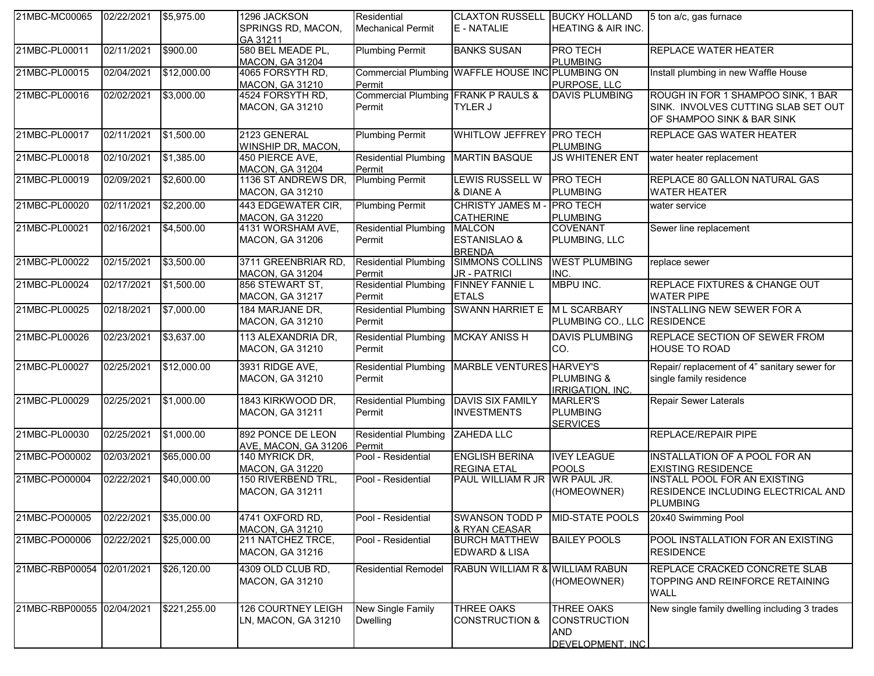| 21MBC-MC00065             | 02/22/2021 | \$5,975.00   | 1296 JACKSON<br>SPRINGS RD, MACON,<br>GA 31211 | Residential<br><b>Mechanical Permit</b>         | <b>CLAXTON RUSSELL BUCKY HOLLAND</b><br>E - NATALIE | HEATING & AIR INC.                                                         | 5 ton a/c, gas furnace                                                                                  |
|---------------------------|------------|--------------|------------------------------------------------|-------------------------------------------------|-----------------------------------------------------|----------------------------------------------------------------------------|---------------------------------------------------------------------------------------------------------|
| 21MBC-PL00011             | 02/11/2021 | \$900.00     | 580 BEL MEADE PL,<br><b>MACON, GA 31204</b>    | <b>Plumbing Permit</b>                          | <b>BANKS SUSAN</b>                                  | <b>PRO TECH</b><br><b>PLUMBING</b>                                         | <b>REPLACE WATER HEATER</b>                                                                             |
| 21MBC-PL00015             | 02/04/2021 | \$12,000.00  | 4065 FORSYTH RD,<br><b>MACON, GA 31210</b>     | Permit                                          | Commercial Plumbing WAFFLE HOUSE INC PLUMBING ON    | PURPOSE, LLC                                                               | Install plumbing in new Waffle House                                                                    |
| 21MBC-PL00016             | 02/02/2021 | \$3,000.00   | 4524 FORSYTH RD,<br>MACON, GA 31210            | Commercial Plumbing FRANK P RAULS &<br>Permit   | <b>TYLER J</b>                                      | <b>DAVIS PLUMBING</b>                                                      | ROUGH IN FOR 1 SHAMPOO SINK, 1 BAR<br>SINK. INVOLVES CUTTING SLAB SET OUT<br>OF SHAMPOO SINK & BAR SINK |
| 21MBC-PL00017             | 02/11/2021 | \$1,500.00   | 2123 GENERAL<br>WINSHIP DR, MACON,             | <b>Plumbing Permit</b>                          | <b>WHITLOW JEFFREY PRO TECH</b>                     | <b>PLUMBING</b>                                                            | REPLACE GAS WATER HEATER                                                                                |
| 21MBC-PL00018             | 02/10/2021 | \$1,385.00   | 450 PIERCE AVE,<br><b>MACON, GA 31204</b>      | <b>Residential Plumbing</b><br>Permit           | <b>MARTIN BASQUE</b>                                | <b>JS WHITENER ENT</b>                                                     | water heater replacement                                                                                |
| 21MBC-PL00019             | 02/09/2021 | \$2,600.00   | 1136 ST ANDREWS DR,<br>MACON, GA 31210         | <b>Plumbing Permit</b>                          | <b>LEWIS RUSSELL W</b><br>& DIANE A                 | <b>PRO TECH</b><br><b>PLUMBING</b>                                         | REPLACE 80 GALLON NATURAL GAS<br><b>WATER HEATER</b>                                                    |
| 21MBC-PL00020             | 02/11/2021 | \$2,200.00   | 443 EDGEWATER CIR,<br><b>MACON, GA 31220</b>   | <b>Plumbing Permit</b>                          | <b>CHRISTY JAMES M</b><br><b>CATHERINE</b>          | <b>PRO TECH</b><br><b>PLUMBING</b>                                         | water service                                                                                           |
| 21MBC-PL00021             | 02/16/2021 | \$4,500.00   | 4131 WORSHAM AVE,<br>MACON, GA 31206           | Residential Plumbing MALCON<br>Permit           | <b>ESTANISLAO &amp;</b><br><b>BRENDA</b>            | <b>COVENANT</b><br>PLUMBING, LLC                                           | Sewer line replacement                                                                                  |
| 21MBC-PL00022             | 02/15/2021 | \$3,500.00   | 3711 GREENBRIAR RD,<br><b>MACON, GA 31204</b>  | <b>Residential Plumbing</b><br>Permit           | <b>SIMMONS COLLINS</b><br><b>JR - PATRICI</b>       | <b>WEST PLUMBING</b><br>INC.                                               | replace sewer                                                                                           |
| 21MBC-PL00024             | 02/17/2021 | \$1,500.00   | 856 STEWART ST,<br><b>MACON, GA 31217</b>      | <b>Residential Plumbing</b><br>Permit           | <b>FINNEY FANNIE L</b><br><b>ETALS</b>              | MBPU INC.                                                                  | REPLACE FIXTURES & CHANGE OUT<br><b>WATER PIPE</b>                                                      |
| 21MBC-PL00025             | 02/18/2021 | \$7,000.00   | 184 MARJANE DR,<br>MACON, GA 31210             | Permit                                          | Residential Plumbing SWANN HARRIET E M L SCARBARY   | PLUMBING CO., LLC RESIDENCE                                                | <b>INSTALLING NEW SEWER FOR A</b>                                                                       |
| 21MBC-PL00026             | 02/23/2021 | \$3,637.00   | 113 ALEXANDRIA DR,<br>MACON, GA 31210          | <b>Residential Plumbing</b><br>Permit           | <b>MCKAY ANISS H</b>                                | <b>DAVIS PLUMBING</b><br>CO.                                               | REPLACE SECTION OF SEWER FROM<br><b>HOUSE TO ROAD</b>                                                   |
| 21MBC-PL00027             | 02/25/2021 | \$12,000.00  | 3931 RIDGE AVE,<br>MACON, GA 31210             | <b>Residential Plumbing</b><br>Permit           | MARBLE VENTURES HARVEY'S                            | <b>PLUMBING &amp;</b><br><b>IRRIGATION, INC.</b>                           | Repair/ replacement of 4" sanitary sewer for<br>single family residence                                 |
| 21MBC-PL00029             | 02/25/2021 | \$1,000.00   | 1843 KIRKWOOD DR,<br>MACON, GA 31211           | Residential Plumbing DAVIS SIX FAMILY<br>Permit | <b>INVESTMENTS</b>                                  | <b>MARLER'S</b><br><b>PLUMBING</b><br><b>SERVICES</b>                      | <b>Repair Sewer Laterals</b>                                                                            |
| 21MBC-PL00030             | 02/25/2021 | \$1,000.00   | 892 PONCE DE LEON<br>AVE, MACON, GA 31206      | <b>Residential Plumbing</b><br>Permit           | ZAHEDA LLC                                          |                                                                            | REPLACE/REPAIR PIPE                                                                                     |
| 21MBC-PO00002             | 02/03/2021 | \$65,000.00  | 140 MYRICK DR,<br><b>MACON, GA 31220</b>       | Pool - Residential                              | <b>ENGLISH BERINA</b><br><b>REGINA ETAL</b>         | <b>IVEY LEAGUE</b><br><b>POOLS</b>                                         | <b>INSTALLATION OF A POOL FOR AN</b><br><b>EXISTING RESIDENCE</b>                                       |
| 21MBC-PO00004             | 02/22/2021 | \$40,000.00  | 150 RIVERBEND TRL,<br><b>MACON, GA 31211</b>   | Pool - Residential                              | PAUL WILLIAM R JR WR PAUL JR.                       | (HOMEOWNER)                                                                | <b>INSTALL POOL FOR AN EXISTING</b><br>RESIDENCE INCLUDING ELECTRICAL AND<br><b>PLUMBING</b>            |
| 21MBC-PO00005             | 02/22/2021 | \$35,000.00  | 4741 OXFORD RD,<br><b>MACON, GA 31210</b>      | Pool - Residential                              | <b>SWANSON TODD P</b><br>& RYAN CEASAR              | MID-STATE POOLS                                                            | 20x40 Swimming Pool                                                                                     |
| 21MBC-PO00006             | 02/22/2021 | \$25,000.00  | 211 NATCHEZ TRCE,<br>MACON, GA 31216           | Pool - Residential                              | <b>BURCH MATTHEW</b><br><b>EDWARD &amp; LISA</b>    | <b>BAILEY POOLS</b>                                                        | POOL INSTALLATION FOR AN EXISTING<br><b>RESIDENCE</b>                                                   |
| 21MBC-RBP00054 02/01/2021 |            | \$26,120.00  | 4309 OLD CLUB RD,<br>MACON, GA 31210           | <b>Residential Remodel</b>                      | RABUN WILLIAM R & WILLIAM RABUN                     | (HOMEOWNER)                                                                | REPLACE CRACKED CONCRETE SLAB<br>TOPPING AND REINFORCE RETAINING<br><b>WALL</b>                         |
| 21MBC-RBP00055 02/04/2021 |            | \$221,255.00 | 126 COURTNEY LEIGH<br>LN, MACON, GA 31210      | New Single Family<br><b>Dwelling</b>            | <b>THREE OAKS</b><br><b>CONSTRUCTION &amp;</b>      | <b>THREE OAKS</b><br><b>CONSTRUCTION</b><br><b>AND</b><br>DEVELOPMENT. INC | New single family dwelling including 3 trades                                                           |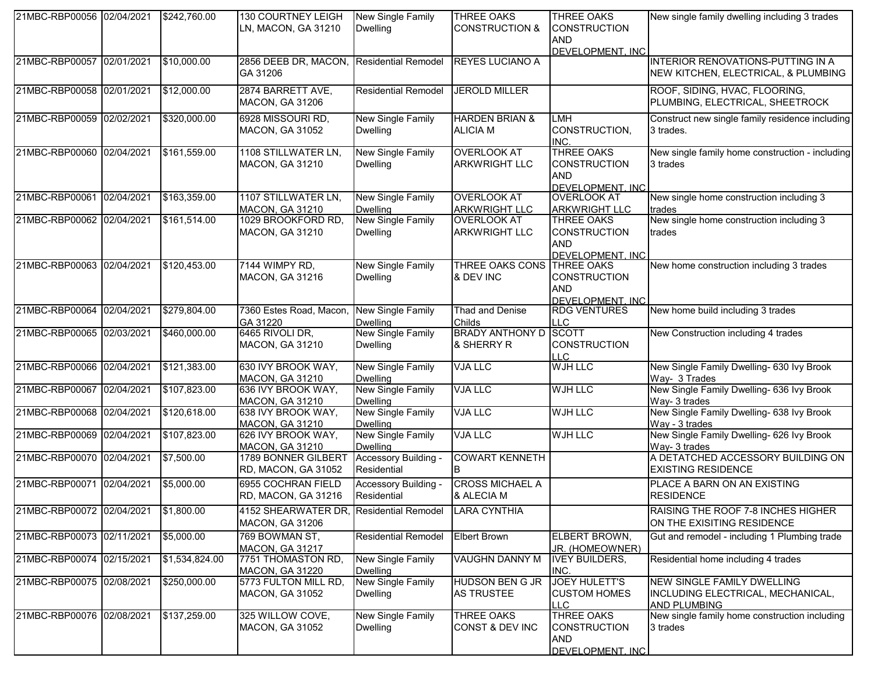| 21MBC-RBP00056 02/04/2021 | \$242,760.00   | <b>130 COURTNEY LEIGH</b><br>LN, MACON, GA 31210           | New Single Family<br><b>Dwelling</b>        | <b>THREE OAKS</b><br><b>CONSTRUCTION &amp;</b> | <b>THREE OAKS</b><br><b>CONSTRUCTION</b><br><b>AND</b>                     | New single family dwelling including 3 trades                                                 |
|---------------------------|----------------|------------------------------------------------------------|---------------------------------------------|------------------------------------------------|----------------------------------------------------------------------------|-----------------------------------------------------------------------------------------------|
|                           |                |                                                            |                                             |                                                | DEVELOPMENT. INC                                                           |                                                                                               |
| 21MBC-RBP00057 02/01/2021 | \$10,000.00    | 2856 DEEB DR, MACON,<br>GA 31206                           | <b>Residential Remodel</b>                  | <b>REYES LUCIANO A</b>                         |                                                                            | INTERIOR RENOVATIONS-PUTTING IN A<br>NEW KITCHEN, ELECTRICAL, & PLUMBING                      |
| 21MBC-RBP00058 02/01/2021 | \$12,000.00    | 2874 BARRETT AVE,<br><b>MACON, GA 31206</b>                | <b>Residential Remodel</b>                  | JEROLD MILLER                                  |                                                                            | ROOF, SIDING, HVAC, FLOORING,<br>PLUMBING, ELECTRICAL, SHEETROCK                              |
| 21MBC-RBP00059 02/02/2021 | \$320,000.00   | 6928 MISSOURI RD,<br><b>MACON, GA 31052</b>                | <b>New Single Family</b><br><b>Dwelling</b> | <b>HARDEN BRIAN &amp;</b><br><b>ALICIA M</b>   | LMH<br>CONSTRUCTION,<br>INC.                                               | Construct new single family residence including<br>3 trades.                                  |
| 21MBC-RBP00060 02/04/2021 | \$161,559.00   | 1108 STILLWATER LN,<br>MACON, GA 31210                     | <b>New Single Family</b><br><b>Dwelling</b> | <b>OVERLOOK AT</b><br><b>ARKWRIGHT LLC</b>     | <b>THREE OAKS</b><br><b>CONSTRUCTION</b><br><b>AND</b><br>DEVELOPMENT. INC | New single family home construction - including<br>3 trades                                   |
| 21MBC-RBP00061 02/04/2021 | \$163,359.00   | 1107 STILLWATER LN,<br><b>MACON, GA 31210</b>              | <b>New Single Family</b>                    | <b>OVERLOOK AT</b>                             | <b>OVERLOOK AT</b>                                                         | New single home construction including 3                                                      |
| 21MBC-RBP00062 02/04/2021 | \$161,514.00   | 1029 BROOKFORD RD,                                         | <b>Dwelling</b><br>New Single Family        | <b>ARKWRIGHT LLC</b><br><b>OVERLOOK AT</b>     | <b>ARKWRIGHT LLC</b><br><b>THREE OAKS</b>                                  | trades<br>New single home construction including 3                                            |
|                           |                | <b>MACON, GA 31210</b>                                     | <b>Dwelling</b>                             | <b>ARKWRIGHT LLC</b>                           | <b>CONSTRUCTION</b><br><b>AND</b><br>DEVELOPMENT. INC                      | trades                                                                                        |
| 21MBC-RBP00063 02/04/2021 | \$120,453.00   | 7144 WIMPY RD,<br>MACON, GA 31216                          | <b>New Single Family</b><br><b>Dwelling</b> | <b>THREE OAKS CONS</b><br>& DEV INC            | <b>THREE OAKS</b><br><b>CONSTRUCTION</b><br><b>AND</b><br>DEVELOPMENT. INC | New home construction including 3 trades                                                      |
| 21MBC-RBP00064 02/04/2021 | \$279,804.00   | 7360 Estes Road, Macon,<br>GA 31220                        | New Single Family<br><b>Dwelling</b>        | <b>Thad and Denise</b><br>Childs               | <b>RDG VENTURES</b><br>LLC                                                 | New home build including 3 trades                                                             |
| 21MBC-RBP00065 02/03/2021 | \$460,000.00   | 6465 RIVOLI DR,<br>MACON, GA 31210                         | New Single Family<br><b>Dwelling</b>        | <b>BRADY ANTHONY D</b><br>& SHERRY R           | <b>SCOTT</b><br><b>CONSTRUCTION</b><br><b>LLC</b>                          | New Construction including 4 trades                                                           |
| 21MBC-RBP00066 02/04/2021 | \$121,383.00   | 630 IVY BROOK WAY,<br>MACON, GA 31210                      | New Single Family<br><b>Dwelling</b>        | <b>VJA LLC</b>                                 | <b>WJH LLC</b>                                                             | New Single Family Dwelling- 630 Ivy Brook<br>Way- 3 Trades                                    |
| 21MBC-RBP00067 02/04/2021 | \$107,823.00   | 636 IVY BROOK WAY,<br>MACON, GA 31210                      | New Single Family<br><b>Dwelling</b>        | <b>VJA LLC</b>                                 | <b>WJH LLC</b>                                                             | New Single Family Dwelling- 636 Ivy Brook<br>Way- 3 trades                                    |
| 21MBC-RBP00068 02/04/2021 | \$120,618.00   | 638 IVY BROOK WAY,<br><b>MACON, GA 31210</b>               | New Single Family<br><b>Dwelling</b>        | <b>VJA LLC</b>                                 | WJH LLC                                                                    | New Single Family Dwelling- 638 Ivy Brook<br>Way - 3 trades                                   |
| 21MBC-RBP00069 02/04/2021 | \$107,823.00   | 626 IVY BROOK WAY,<br><b>MACON, GA 31210</b>               | New Single Family<br><b>Dwelling</b>        | <b>VJA LLC</b>                                 | <b>WJH LLC</b>                                                             | New Single Family Dwelling- 626 Ivy Brook<br>Way- 3 trades                                    |
| 21MBC-RBP00070 02/04/2021 | \$7,500.00     | 1789 BONNER GILBERT<br>RD, MACON, GA 31052                 | Accessory Building -<br>Residential         | <b>COWART KENNETH</b><br>ΙB                    |                                                                            | A DETATCHED ACCESSORY BUILDING ON<br><b>EXISTING RESIDENCE</b>                                |
| 21MBC-RBP00071 02/04/2021 | \$5,000.00     | 6955 COCHRAN FIELD<br>RD, MACON, GA 31216                  | Accessory Building -<br>Residential         | <b>CROSS MICHAEL A</b><br>& ALECIA M           |                                                                            | PLACE A BARN ON AN EXISTING<br><b>RESIDENCE</b>                                               |
| 21MBC-RBP00072 02/04/2021 | \$1,800.00     | 4152 SHEARWATER DR, Residential Remodel<br>MACON, GA 31206 |                                             | <b>LARA CYNTHIA</b>                            |                                                                            | RAISING THE ROOF 7-8 INCHES HIGHER<br>ON THE EXISITING RESIDENCE                              |
| 21MBC-RBP00073 02/11/2021 | \$5,000.00     | 769 BOWMAN ST,<br><b>MACON, GA 31217</b>                   | <b>Residential Remodel</b>                  | <b>Elbert Brown</b>                            | ELBERT BROWN,<br>JR. (HOMEOWNER)                                           | Gut and remodel - including 1 Plumbing trade                                                  |
| 21MBC-RBP00074 02/15/2021 | \$1,534,824.00 | 7751 THOMASTON RD,<br><b>MACON, GA 31220</b>               | New Single Family<br><b>Dwelling</b>        | <b>VAUGHN DANNY M</b>                          | <b>IVEY BUILDERS,</b><br>INC.                                              | Residential home including 4 trades                                                           |
| 21MBC-RBP00075 02/08/2021 | \$250,000.00   | 5773 FULTON MILL RD,<br>MACON, GA 31052                    | New Single Family<br><b>Dwelling</b>        | <b>HUDSON BEN G JR</b><br><b>AS TRUSTEE</b>    | <b>JOEY HULETT'S</b><br><b>CUSTOM HOMES</b><br><b>LLC</b>                  | <b>NEW SINGLE FAMILY DWELLING</b><br>INCLUDING ELECTRICAL, MECHANICAL,<br><b>AND PLUMBING</b> |
| 21MBC-RBP00076 02/08/2021 | \$137,259.00   | 325 WILLOW COVE,<br><b>MACON, GA 31052</b>                 | New Single Family<br><b>Dwelling</b>        | THREE OAKS<br>CONST & DEV INC                  | THREE OAKS<br><b>CONSTRUCTION</b><br>AND<br>DEVELOPMENT. INC               | New single family home construction including<br>3 trades                                     |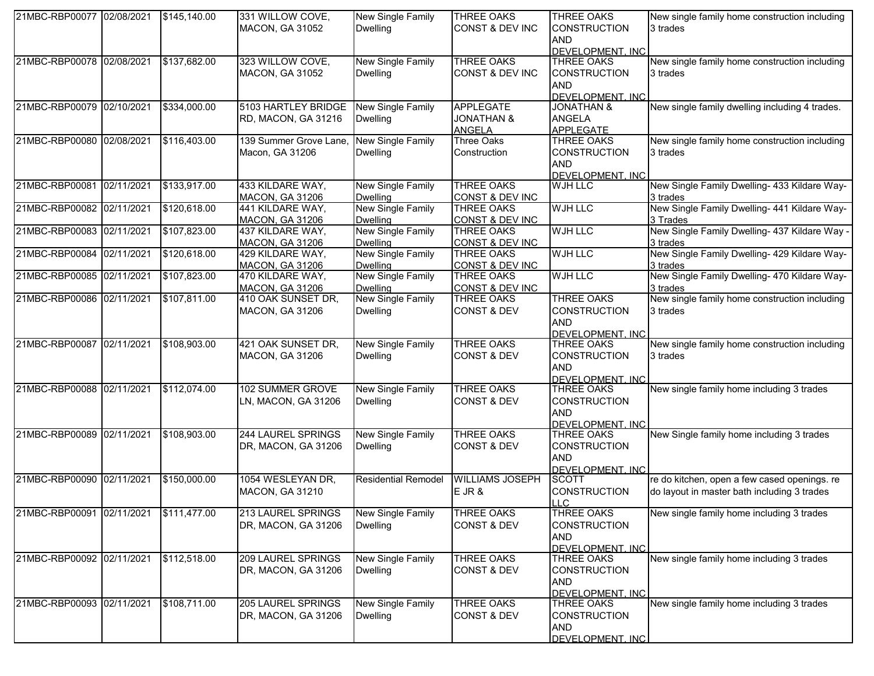| 21MBC-RBP00077 02/08/2021 | \$145,140.00 | 331 WILLOW COVE,          | New Single Family          | <b>THREE OAKS</b>      | <b>THREE OAKS</b>     | New single family home construction including  |
|---------------------------|--------------|---------------------------|----------------------------|------------------------|-----------------------|------------------------------------------------|
|                           |              | <b>MACON, GA 31052</b>    | <b>Dwelling</b>            | CONST & DEV INC        | <b>CONSTRUCTION</b>   | 3 trades                                       |
|                           |              |                           |                            |                        | <b>AND</b>            |                                                |
|                           |              |                           |                            |                        | DEVELOPMENT. INC      |                                                |
| 21MBC-RBP00078 02/08/2021 | \$137,682.00 | 323 WILLOW COVE,          | New Single Family          | <b>THREE OAKS</b>      | <b>THREE OAKS</b>     | New single family home construction including  |
|                           |              | <b>MACON, GA 31052</b>    | <b>Dwelling</b>            | CONST & DEV INC        | <b>CONSTRUCTION</b>   | 3 trades                                       |
|                           |              |                           |                            |                        | <b>AND</b>            |                                                |
|                           |              |                           |                            |                        | DEVELOPMENT, INC.     |                                                |
| 21MBC-RBP00079 02/10/2021 | \$334,000.00 | 5103 HARTLEY BRIDGE       | <b>New Single Family</b>   | <b>APPLEGATE</b>       | <b>JONATHAN &amp;</b> | New single family dwelling including 4 trades. |
|                           |              | RD, MACON, GA 31216       | <b>Dwelling</b>            | <b>JONATHAN &amp;</b>  | <b>ANGELA</b>         |                                                |
|                           |              |                           |                            | <b>ANGELA</b>          | <b>APPLEGATE</b>      |                                                |
| 21MBC-RBP00080 02/08/2021 | \$116,403.00 | 139 Summer Grove Lane,    | New Single Family          | <b>Three Oaks</b>      | <b>THREE OAKS</b>     | New single family home construction including  |
|                           |              | Macon, GA 31206           | <b>Dwelling</b>            | Construction           | <b>CONSTRUCTION</b>   | 3 trades                                       |
|                           |              |                           |                            |                        | <b>AND</b>            |                                                |
|                           |              |                           |                            |                        | DEVELOPMENT. INC      |                                                |
| 21MBC-RBP00081 02/11/2021 | \$133,917.00 | 433 KILDARE WAY,          | <b>New Single Family</b>   | <b>THREE OAKS</b>      | WJH LLC               | New Single Family Dwelling- 433 Kildare Way-   |
|                           |              | MACON, GA 31206           | <b>Dwelling</b>            | CONST & DEV INC        |                       | 3 trades                                       |
| 21MBC-RBP00082 02/11/2021 | \$120,618.00 | 441 KILDARE WAY,          | New Single Family          | <b>THREE OAKS</b>      | <b>WJH LLC</b>        | New Single Family Dwelling- 441 Kildare Way-   |
|                           |              | MACON, GA 31206           | <b>Dwelling</b>            | CONST & DEV INC        |                       | 3 Trades                                       |
| 21MBC-RBP00083 02/11/2021 | \$107,823.00 | 437 KILDARE WAY,          | New Single Family          | <b>THREE OAKS</b>      | <b>WJH LLC</b>        | New Single Family Dwelling- 437 Kildare Way -  |
|                           |              | <b>MACON, GA 31206</b>    | <b>Dwelling</b>            | CONST & DEV INC        |                       | 3 trades                                       |
| 21MBC-RBP00084 02/11/2021 | \$120,618.00 | 429 KILDARE WAY,          | New Single Family          | <b>THREE OAKS</b>      | <b>WJH LLC</b>        | New Single Family Dwelling- 429 Kildare Way-   |
|                           |              | MACON, GA 31206           | <b>Dwelling</b>            | CONST & DEV INC        |                       | 3 trades                                       |
| 21MBC-RBP00085 02/11/2021 | \$107,823.00 | 470 KILDARE WAY,          | <b>New Single Family</b>   | <b>THREE OAKS</b>      | <b>WJH LLC</b>        | New Single Family Dwelling- 470 Kildare Way-   |
|                           |              | MACON, GA 31206           | <b>Dwelling</b>            | CONST & DEV INC        |                       | 3 trades                                       |
| 21MBC-RBP00086 02/11/2021 | \$107,811.00 | 410 OAK SUNSET DR,        | <b>New Single Family</b>   | <b>THREE OAKS</b>      | <b>THREE OAKS</b>     | New single family home construction including  |
|                           |              | MACON, GA 31206           | <b>Dwelling</b>            | <b>CONST &amp; DEV</b> | <b>CONSTRUCTION</b>   | 3 trades                                       |
|                           |              |                           |                            |                        | <b>AND</b>            |                                                |
|                           |              |                           |                            |                        | DEVELOPMENT. INC      |                                                |
| 21MBC-RBP00087 02/11/2021 | \$108,903.00 | 421 OAK SUNSET DR,        | <b>New Single Family</b>   | <b>THREE OAKS</b>      | <b>THREE OAKS</b>     | New single family home construction including  |
|                           |              | MACON, GA 31206           | <b>Dwelling</b>            | <b>CONST &amp; DEV</b> | <b>CONSTRUCTION</b>   | 3 trades                                       |
|                           |              |                           |                            |                        | <b>AND</b>            |                                                |
|                           |              |                           |                            |                        | DEVELOPMENT. INC      |                                                |
| 21MBC-RBP00088 02/11/2021 | \$112,074.00 | 102 SUMMER GROVE          | New Single Family          | <b>THREE OAKS</b>      | <b>THREE OAKS</b>     | New single family home including 3 trades      |
|                           |              | LN, MACON, GA 31206       | <b>Dwelling</b>            | <b>CONST &amp; DEV</b> | <b>CONSTRUCTION</b>   |                                                |
|                           |              |                           |                            |                        | <b>AND</b>            |                                                |
|                           |              |                           |                            |                        | DEVELOPMENT. INC      |                                                |
| 21MBC-RBP00089 02/11/2021 | \$108,903.00 | <b>244 LAUREL SPRINGS</b> | <b>New Single Family</b>   | <b>THREE OAKS</b>      | <b>THREE OAKS</b>     | New Single family home including 3 trades      |
|                           |              | DR, MACON, GA 31206       | <b>Dwelling</b>            | <b>CONST &amp; DEV</b> | <b>CONSTRUCTION</b>   |                                                |
|                           |              |                           |                            |                        | <b>AND</b>            |                                                |
|                           |              |                           |                            |                        | DEVELOPMENT. INC      |                                                |
| 21MBC-RBP00090 02/11/2021 | \$150,000.00 | 1054 WESLEYAN DR,         | <b>Residential Remodel</b> | <b>WILLIAMS JOSEPH</b> | <b>SCOTT</b>          | re do kitchen, open a few cased openings. re   |
|                           |              | <b>MACON, GA 31210</b>    |                            | $E$ JR $\&$            | <b>CONSTRUCTION</b>   | do layout in master bath including 3 trades    |
|                           |              |                           |                            |                        | <b>LLC</b>            |                                                |
| 21MBC-RBP00091 02/11/2021 | \$111,477.00 | 213 LAUREL SPRINGS        | New Single Family          | THREE OAKS             | <b>THREE OAKS</b>     | New single family home including 3 trades      |
|                           |              | DR, MACON, GA 31206       | <b>Dwelling</b>            | <b>CONST &amp; DEV</b> | <b>CONSTRUCTION</b>   |                                                |
|                           |              |                           |                            |                        | <b>AND</b>            |                                                |
|                           |              |                           |                            |                        | DEVELOPMENT. INC      |                                                |
| 21MBC-RBP00092 02/11/2021 | \$112,518.00 | <b>209 LAUREL SPRINGS</b> | New Single Family          | <b>THREE OAKS</b>      | <b>THREE OAKS</b>     | New single family home including 3 trades      |
|                           |              | DR, MACON, GA 31206       | <b>Dwelling</b>            | <b>CONST &amp; DEV</b> | <b>CONSTRUCTION</b>   |                                                |
|                           |              |                           |                            |                        | <b>AND</b>            |                                                |
|                           |              |                           |                            |                        | DEVELOPMENT. INC      |                                                |
| 21MBC-RBP00093 02/11/2021 | \$108,711.00 | 205 LAUREL SPRINGS        | New Single Family          | <b>THREE OAKS</b>      | <b>THREE OAKS</b>     | New single family home including 3 trades      |
|                           |              | DR, MACON, GA 31206       | <b>Dwelling</b>            | <b>CONST &amp; DEV</b> | <b>CONSTRUCTION</b>   |                                                |
|                           |              |                           |                            |                        | <b>AND</b>            |                                                |
|                           |              |                           |                            |                        | DEVELOPMENT. INC      |                                                |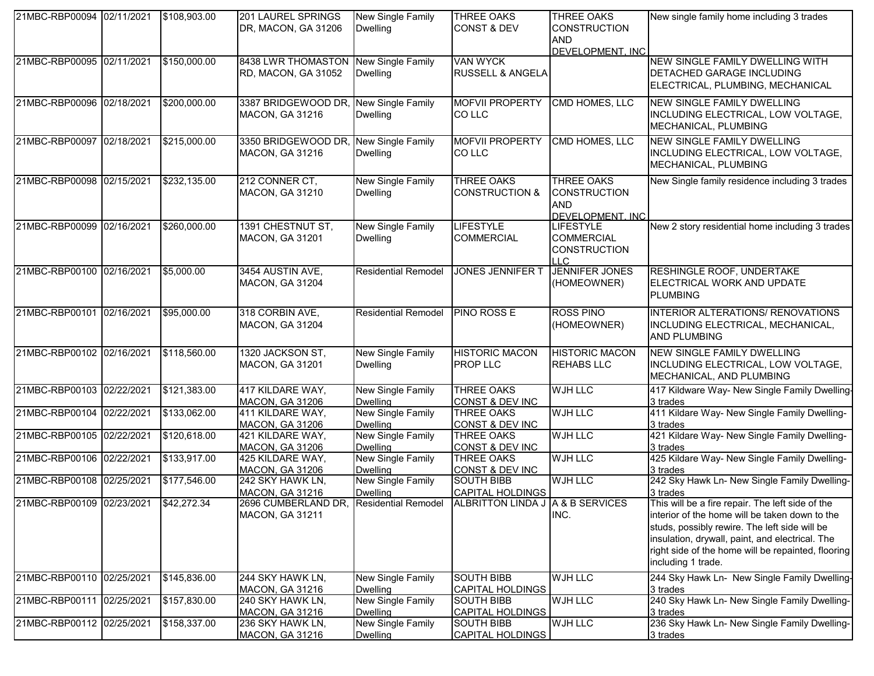| 21MBC-RBP00094 02/11/2021 | \$108,903.00 | <b>201 LAUREL SPRINGS</b><br>DR, MACON, GA 31206                     | New Single Family<br><b>Dwelling</b>                    | <b>THREE OAKS</b><br><b>CONST &amp; DEV</b>              | <b>THREE OAKS</b><br><b>CONSTRUCTION</b><br><b>AND</b>                     | New single family home including 3 trades                                                                                                                                                                                                                                          |
|---------------------------|--------------|----------------------------------------------------------------------|---------------------------------------------------------|----------------------------------------------------------|----------------------------------------------------------------------------|------------------------------------------------------------------------------------------------------------------------------------------------------------------------------------------------------------------------------------------------------------------------------------|
| 21MBC-RBP00095 02/11/2021 | \$150,000.00 | 8438 LWR THOMASTON                                                   | New Single Family                                       | VAN WYCK                                                 | DEVELOPMENT. INC                                                           | NEW SINGLE FAMILY DWELLING WITH                                                                                                                                                                                                                                                    |
|                           |              | RD, MACON, GA 31052                                                  | <b>Dwelling</b>                                         | <b>RUSSELL &amp; ANGELA</b>                              |                                                                            | <b>DETACHED GARAGE INCLUDING</b><br>ELECTRICAL, PLUMBING, MECHANICAL                                                                                                                                                                                                               |
| 21MBC-RBP00096 02/18/2021 | \$200,000.00 | 3387 BRIDGEWOOD DR, New Single Family<br><b>MACON, GA 31216</b>      | <b>Dwelling</b>                                         | MOFVII PROPERTY CMD HOMES, LLC<br>CO LLC                 |                                                                            | NEW SINGLE FAMILY DWELLING<br>INCLUDING ELECTRICAL, LOW VOLTAGE,<br>MECHANICAL, PLUMBING                                                                                                                                                                                           |
| 21MBC-RBP00097 02/18/2021 | \$215,000.00 | 3350 BRIDGEWOOD DR.<br><b>MACON, GA 31216</b>                        | New Single Family<br><b>Dwelling</b>                    | <b>MOFVII PROPERTY</b><br><b>COLLC</b>                   | <b>CMD HOMES, LLC</b>                                                      | <b>NEW SINGLE FAMILY DWELLING</b><br>INCLUDING ELECTRICAL, LOW VOLTAGE,<br>MECHANICAL, PLUMBING                                                                                                                                                                                    |
| 21MBC-RBP00098 02/15/2021 | \$232,135.00 | 212 CONNER CT,<br><b>MACON, GA 31210</b>                             | <b>New Single Family</b><br><b>Dwelling</b>             | <b>THREE OAKS</b><br><b>CONSTRUCTION &amp;</b>           | <b>THREE OAKS</b><br><b>CONSTRUCTION</b><br><b>AND</b><br>DEVELOPMENT. INC | New Single family residence including 3 trades                                                                                                                                                                                                                                     |
| 21MBC-RBP00099 02/16/2021 | \$260,000.00 | 1391 CHESTNUT ST,<br>MACON, GA 31201                                 | <b>New Single Family</b><br><b>Dwelling</b>             | <b>LIFESTYLE</b><br><b>COMMERCIAL</b>                    | <b>LIFESTYLE</b><br><b>COMMERCIAL</b><br><b>CONSTRUCTION</b><br>ILC.       | New 2 story residential home including 3 trades                                                                                                                                                                                                                                    |
| 21MBC-RBP00100 02/16/2021 | \$5,000.00   | 3454 AUSTIN AVE,<br>MACON, GA 31204                                  | <b>Residential Remodel</b>                              | <b>JONES JENNIFER T</b>                                  | JENNIFER JONES<br>(HOMEOWNER)                                              | RESHINGLE ROOF, UNDERTAKE<br>ELECTRICAL WORK AND UPDATE<br><b>PLUMBING</b>                                                                                                                                                                                                         |
| 21MBC-RBP00101 02/16/2021 | \$95,000.00  | 318 CORBIN AVE,<br>MACON, GA 31204                                   | <b>Residential Remodel</b>                              | <b>PINO ROSS E</b>                                       | <b>ROSS PINO</b><br>(HOMEOWNER)                                            | INTERIOR ALTERATIONS/ RENOVATIONS<br>INCLUDING ELECTRICAL, MECHANICAL,<br><b>AND PLUMBING</b>                                                                                                                                                                                      |
| 21MBC-RBP00102 02/16/2021 | \$118,560.00 | 1320 JACKSON ST,<br>MACON, GA 31201                                  | <b>New Single Family</b><br><b>Dwelling</b>             | <b>HISTORIC MACON</b><br>PROP LLC                        | <b>HISTORIC MACON</b><br><b>REHABS LLC</b>                                 | <b>INEW SINGLE FAMILY DWELLING</b><br>INCLUDING ELECTRICAL, LOW VOLTAGE,<br>MECHANICAL, AND PLUMBING                                                                                                                                                                               |
| 21MBC-RBP00103 02/22/2021 | \$121,383.00 | 417 KILDARE WAY,<br><b>MACON, GA 31206</b>                           | <b>New Single Family</b><br><b>Dwelling</b>             | <b>THREE OAKS</b><br>CONST & DEV INC                     | <b>WJH LLC</b>                                                             | 417 Kildware Way- New Single Family Dwelling-<br>3 trades                                                                                                                                                                                                                          |
| 21MBC-RBP00104 02/22/2021 | \$133,062.00 | 411 KILDARE WAY,<br><b>MACON, GA 31206</b>                           | <b>New Single Family</b><br><b>Dwelling</b>             | <b>THREE OAKS</b><br>CONST & DEV INC                     | <b>WJH LLC</b>                                                             | 411 Kildare Way- New Single Family Dwelling-<br>3 trades                                                                                                                                                                                                                           |
| 21MBC-RBP00105 02/22/2021 | \$120,618.00 | 421 KILDARE WAY,<br>MACON, GA 31206                                  | New Single Family<br><b>Dwelling</b>                    | <b>THREE OAKS</b><br>CONST & DEV INC                     | <b>WJH LLC</b>                                                             | 421 Kildare Way- New Single Family Dwelling-<br>3 trades                                                                                                                                                                                                                           |
| 21MBC-RBP00106 02/22/2021 | \$133,917.00 | 425 KILDARE WAY,                                                     | New Single Family                                       | <b>THREE OAKS</b>                                        | <b>WJH LLC</b>                                                             | 425 Kildare Way- New Single Family Dwelling-                                                                                                                                                                                                                                       |
| 21MBC-RBP00108 02/25/2021 | \$177,546.00 | <b>MACON, GA 31206</b><br>242 SKY HAWK LN,<br><b>MACON, GA 31216</b> | <b>Dwelling</b><br>New Single Family<br><b>Dwelling</b> | CONST & DEV INC<br><b>SOUTH BIBB</b><br>CAPITAL HOLDINGS | <b>WJH LLC</b>                                                             | 3 trades<br>242 Sky Hawk Ln- New Single Family Dwelling-<br>3 trades                                                                                                                                                                                                               |
| 21MBC-RBP00109 02/23/2021 | \$42,272.34  | 2696 CUMBERLAND DR, Residential Remodel<br><b>MACON, GA 31211</b>    |                                                         | ALBRITTON LINDA J A & B SERVICES                         | INC.                                                                       | This will be a fire repair. The left side of the<br>interior of the home will be taken down to the<br>studs, possibly rewire. The left side will be<br>insulation, drywall, paint, and electrical. The<br>right side of the home will be repainted, flooring<br>including 1 trade. |
| 21MBC-RBP00110 02/25/2021 | \$145,836.00 | 244 SKY HAWK LN,<br><b>MACON, GA 31216</b>                           | New Single Family<br>Dwelling                           | <b>SOUTH BIBB</b><br><b>CAPITAL HOLDINGS</b>             | <b>WJH LLC</b>                                                             | 244 Sky Hawk Ln- New Single Family Dwelling-<br>3 trades                                                                                                                                                                                                                           |
| 21MBC-RBP00111 02/25/2021 | \$157,830.00 | 240 SKY HAWK LN,<br>MACON, GA 31216                                  | New Single Family<br><b>Dwelling</b>                    | <b>SOUTH BIBB</b><br><b>CAPITAL HOLDINGS</b>             | <b>WJH LLC</b>                                                             | 240 Sky Hawk Ln- New Single Family Dwelling-<br>3 trades                                                                                                                                                                                                                           |
| 21MBC-RBP00112 02/25/2021 | \$158,337.00 | 236 SKY HAWK LN,<br><b>MACON, GA 31216</b>                           | <b>New Single Family</b><br><b>Dwelling</b>             | <b>SOUTH BIBB</b><br>CAPITAL HOLDINGS                    | <b>WJH LLC</b>                                                             | 236 Sky Hawk Ln- New Single Family Dwelling-<br>3 trades                                                                                                                                                                                                                           |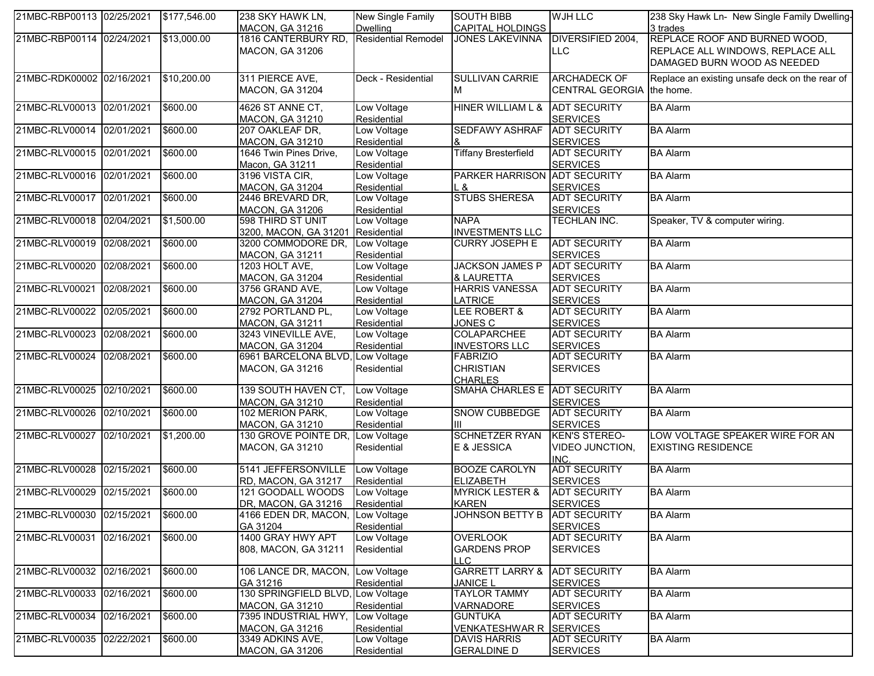| 21MBC-RBP00113 02/25/2021 |            | \$177,546.00 | 238 SKY HAWK LN,<br><b>MACON, GA 31216</b>             | New Single Family<br>Dwelling     | <b>SOUTH BIBB</b><br><b>CAPITAL HOLDINGS</b>          | <b>WJH LLC</b>                                  | 238 Sky Hawk Ln- New Single Family Dwelling-<br>3 trades        |
|---------------------------|------------|--------------|--------------------------------------------------------|-----------------------------------|-------------------------------------------------------|-------------------------------------------------|-----------------------------------------------------------------|
| 21MBC-RBP00114 02/24/2021 |            | \$13,000.00  | 1816 CANTERBURY RD,                                    | <b>Residential Remodel</b>        | <b>JONES LAKEVINNA</b>                                | DIVERSIFIED 2004,                               | REPLACE ROOF AND BURNED WOOD,                                   |
|                           |            |              | <b>MACON, GA 31206</b>                                 |                                   |                                                       | <b>LLC</b>                                      | REPLACE ALL WINDOWS, REPLACE ALL<br>DAMAGED BURN WOOD AS NEEDED |
| 21MBC-RDK00002 02/16/2021 |            | \$10,200.00  | 311 PIERCE AVE,                                        | Deck - Residential                | <b>SULLIVAN CARRIE</b>                                | <b>ARCHADECK OF</b>                             | Replace an existing unsafe deck on the rear of                  |
|                           |            |              | <b>MACON, GA 31204</b>                                 |                                   | М                                                     | CENTRAL GEORGIA the home.                       |                                                                 |
| 21MBC-RLV00013 02/01/2021 |            | \$600.00     | 4626 ST ANNE CT,<br><b>MACON, GA 31210</b>             | Low Voltage<br>Residential        | HINER WILLIAM L &                                     | <b>ADT SECURITY</b><br><b>SERVICES</b>          | <b>BA Alarm</b>                                                 |
| 21MBC-RLV00014 02/01/2021 |            | \$600.00     | 207 OAKLEAF DR,<br><b>MACON, GA 31210</b>              | Low Voltage<br>Residential        | <b>SEDFAWY ASHRAF</b>                                 | <b>ADT SECURITY</b><br><b>SERVICES</b>          | <b>BA Alarm</b>                                                 |
| 21MBC-RLV00015 02/01/2021 |            | \$600.00     | 1646 Twin Pines Drive,<br>Macon, GA 31211              | Low Voltage<br>Residential        | <b>Tiffany Bresterfield</b>                           | <b>ADT SECURITY</b><br><b>SERVICES</b>          | <b>BA Alarm</b>                                                 |
| 21MBC-RLV00016 02/01/2021 |            | \$600.00     | 3196 VISTA CIR,<br><b>MACON, GA 31204</b>              | Low Voltage<br>Residential        | PARKER HARRISON ADT SECURITY<br>L &                   | <b>SERVICES</b>                                 | <b>BA Alarm</b>                                                 |
| 21MBC-RLV00017 02/01/2021 |            | \$600.00     | 2446 BREVARD DR,<br>MACON, GA 31206                    | Low Voltage<br>Residential        | <b>STUBS SHERESA</b>                                  | <b>ADT SECURITY</b><br><b>SERVICES</b>          | <b>BA Alarm</b>                                                 |
| 21MBC-RLV00018 02/04/2021 |            | \$1,500.00   | 598 THIRD ST UNIT<br>3200, MACON, GA 31201 Residential | Low Voltage                       | <b>NAPA</b><br><b>INVESTMENTS LLC</b>                 | <b>TECHLAN INC.</b>                             | Speaker, TV & computer wiring.                                  |
| 21MBC-RLV00019 02/08/2021 |            | \$600.00     | 3200 COMMODORE DR,<br>MACON, GA 31211                  | Low Voltage<br>Residential        | <b>CURRY JOSEPH E</b>                                 | <b>ADT SECURITY</b><br><b>SERVICES</b>          | <b>BA</b> Alarm                                                 |
| 21MBC-RLV00020            | 02/08/2021 | \$600.00     | 1203 HOLT AVE,<br><b>MACON, GA 31204</b>               | Low Voltage<br>Residential        | <b>JACKSON JAMES P</b><br>& LAURETTA                  | <b>ADT SECURITY</b><br><b>SERVICES</b>          | <b>BA Alarm</b>                                                 |
| 21MBC-RLV00021            | 02/08/2021 | \$600.00     | 3756 GRAND AVE,<br><b>MACON, GA 31204</b>              | Low Voltage<br>Residential        | <b>HARRIS VANESSA</b><br><b>LATRICE</b>               | <b>ADT SECURITY</b><br><b>SERVICES</b>          | <b>BA Alarm</b>                                                 |
| 21MBC-RLV00022 02/05/2021 |            | \$600.00     | 2792 PORTLAND PL,<br><b>MACON, GA 31211</b>            | Low Voltage<br><b>Residential</b> | LEE ROBERT &<br><b>JONES C</b>                        | <b>ADT SECURITY</b><br><b>SERVICES</b>          | <b>BA Alarm</b>                                                 |
| 21MBC-RLV00023 02/08/2021 |            | \$600.00     | 3243 VINEVILLE AVE,<br><b>MACON, GA 31204</b>          | Low Voltage<br>Residential        | <b>COLAPARCHEE</b><br><b>INVESTORS LLC</b>            | <b>ADT SECURITY</b><br><b>SERVICES</b>          | <b>BA Alarm</b>                                                 |
| 21MBC-RLV00024 02/08/2021 |            | \$600.00     | 6961 BARCELONA BLVD,<br>MACON, GA 31216                | Low Voltage<br>Residential        | <b>FABRIZIO</b><br><b>CHRISTIAN</b><br><b>CHARLES</b> | <b>ADT SECURITY</b><br><b>SERVICES</b>          | <b>BA Alarm</b>                                                 |
| 21MBC-RLV00025 02/10/2021 |            | \$600.00     | 139 SOUTH HAVEN CT,<br><b>MACON, GA 31210</b>          | Low Voltage<br><b>Residential</b> | SMAHA CHARLES E ADT SECURITY                          | <b>SERVICES</b>                                 | <b>BA Alarm</b>                                                 |
| 21MBC-RLV00026 02/10/2021 |            | \$600.00     | 102 MERION PARK,<br><b>MACON, GA 31210</b>             | Low Voltage<br>Residential        | SNOW CUBBEDGE<br>ШL                                   | <b>ADT SECURITY</b><br><b>SERVICES</b>          | <b>BA Alarm</b>                                                 |
| 21MBC-RLV00027 02/10/2021 |            | \$1,200.00   | 130 GROVE POINTE DR,<br>MACON, GA 31210                | Low Voltage<br>Residential        | <b>SCHNETZER RYAN</b><br>E & JESSICA                  | <b>KEN'S STEREO-</b><br>VIDEO JUNCTION,<br>INC. | LOW VOLTAGE SPEAKER WIRE FOR AN<br><b>EXISTING RESIDENCE</b>    |
| 21MBC-RLV00028 02/15/2021 |            | \$600.00     | 5141 JEFFERSONVILLE<br>RD, MACON, GA 31217             | Low Voltage<br>Residential        | <b>BOOZE CAROLYN</b><br><b>ELIZABETH</b>              | <b>ADT SECURITY</b><br><b>SERVICES</b>          | <b>BA Alarm</b>                                                 |
| 21MBC-RLV00029 02/15/2021 |            | \$600.00     | 121 GOODALL WOODS<br>DR. MACON. GA 31216               | Low Voltage<br>Residential        | <b>MYRICK LESTER &amp;</b><br><b>KAREN</b>            | <b>ADT SECURITY</b><br><b>SERVICES</b>          | <b>BA</b> Alarm                                                 |
| 21MBC-RLV00030 02/15/2021 |            | \$600.00     | 4166 EDEN DR, MACON,<br>GA 31204                       | Low Voltage<br>Residential        | JOHNSON BETTY B ADT SECURITY                          | <b>SERVICES</b>                                 | <b>BA Alarm</b>                                                 |
| 21MBC-RLV00031 02/16/2021 |            | \$600.00     | 1400 GRAY HWY APT<br>808, MACON, GA 31211              | Low Voltage<br>Residential        | <b>OVERLOOK</b><br><b>GARDENS PROP</b><br>LLC.        | <b>ADT SECURITY</b><br><b>SERVICES</b>          | <b>BA Alarm</b>                                                 |
| 21MBC-RLV00032 02/16/2021 |            | \$600.00     | 106 LANCE DR, MACON,<br>GA 31216                       | Low Voltage<br>Residential        | <b>GARRETT LARRY &amp;</b><br><b>JANICE L</b>         | <b>ADT SECURITY</b><br><b>SERVICES</b>          | <b>BA Alarm</b>                                                 |
| 21MBC-RLV00033 02/16/2021 |            | \$600.00     | 130 SPRINGFIELD BLVD,<br><b>MACON, GA 31210</b>        | Low Voltage<br>Residential        | <b>TAYLOR TAMMY</b><br>VARNADORE                      | <b>ADT SECURITY</b><br><b>SERVICES</b>          | <b>BA Alarm</b>                                                 |
| 21MBC-RLV00034            | 02/16/2021 | \$600.00     | 7395 INDUSTRIAL HWY,<br><b>MACON, GA 31216</b>         | Low Voltage<br>Residential        | <b>GUNTUKA</b><br>VENKATESHWAR R SERVICES             | <b>ADT SECURITY</b>                             | <b>BA Alarm</b>                                                 |
| 21MBC-RLV00035 02/22/2021 |            | \$600.00     | 3349 ADKINS AVE,<br><b>MACON, GA 31206</b>             | Low Voltage<br>Residential        | <b>DAVIS HARRIS</b><br><b>GERALDINE D</b>             | <b>ADT SECURITY</b><br><b>SERVICES</b>          | <b>BA Alarm</b>                                                 |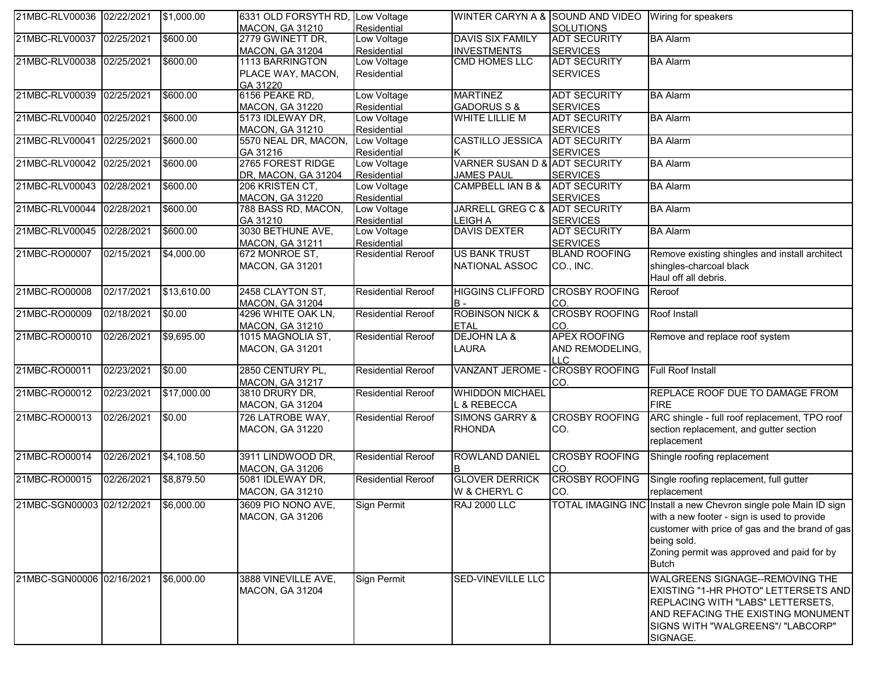| 21MBC-RLV00036 02/22/2021 |            | \$1,000.00        | 6331 OLD FORSYTH RD, Low Voltage    |                            |                               | WINTER CARYN A & SOUND AND VIDEO Wiring for speakers |                                                                  |
|---------------------------|------------|-------------------|-------------------------------------|----------------------------|-------------------------------|------------------------------------------------------|------------------------------------------------------------------|
|                           |            |                   | <b>MACON, GA 31210</b>              | Residential                |                               | <b>SOLUTIONS</b>                                     |                                                                  |
| 21MBC-RLV00037 02/25/2021 |            | \$600.00          | 2779 GWINETT DR,                    | Low Voltage                | <b>DAVIS SIX FAMILY</b>       | <b>ADT SECURITY</b>                                  | <b>BA Alarm</b>                                                  |
|                           |            |                   | <b>MACON, GA 31204</b>              | Residential                | <b>INVESTMENTS</b>            | <b>SERVICES</b>                                      |                                                                  |
| 21MBC-RLV00038 02/25/2021 |            | \$600.00          | 1113 BARRINGTON                     | Low Voltage                | <b>CMD HOMES LLC</b>          | <b>ADT SECURITY</b>                                  | <b>BA Alarm</b>                                                  |
|                           |            |                   | PLACE WAY, MACON,                   | Residential                |                               | <b>SERVICES</b>                                      |                                                                  |
|                           |            |                   | GA 31220                            |                            | <b>MARTINEZ</b>               | <b>ADT SECURITY</b>                                  |                                                                  |
| 21MBC-RLV00039 02/25/2021 |            | \$600.00          | 6156 PEAKE RD,                      | Low Voltage<br>Residential | <b>GADORUS S &amp;</b>        |                                                      | <b>BA</b> Alarm                                                  |
| 21MBC-RLV00040 02/25/2021 |            | \$600.00          | MACON, GA 31220<br>5173 IDLEWAY DR, | Low Voltage                | WHITE LILLIE M                | <b>SERVICES</b><br><b>ADT SECURITY</b>               | <b>BA Alarm</b>                                                  |
|                           |            |                   | <b>MACON, GA 31210</b>              | Residential                |                               | <b>SERVICES</b>                                      |                                                                  |
| 21MBC-RLV00041 02/25/2021 |            | \$600.00          | 5570 NEAL DR, MACON,                | Low Voltage                | <b>CASTILLO JESSICA</b>       | <b>ADT SECURITY</b>                                  | <b>BA Alarm</b>                                                  |
|                           |            |                   | GA 31216                            | Residential                |                               | <b>SERVICES</b>                                      |                                                                  |
| 21MBC-RLV00042 02/25/2021 |            | \$600.00          | 2765 FOREST RIDGE                   | Low Voltage                | VARNER SUSAN D & ADT SECURITY |                                                      | <b>BA Alarm</b>                                                  |
|                           |            |                   | DR, MACON, GA 31204                 | Residential                | <b>JAMES PAUL</b>             | <b>SERVICES</b>                                      |                                                                  |
| 21MBC-RLV00043 02/28/2021 |            | \$600.00          | 206 KRISTEN CT,                     | Low Voltage                | <b>CAMPBELL IAN B &amp;</b>   | <b>ADT SECURITY</b>                                  | <b>BA Alarm</b>                                                  |
|                           |            |                   | MACON, GA 31220                     | Residential                |                               | <b>SERVICES</b>                                      |                                                                  |
| 21MBC-RLV00044 02/28/2021 |            | \$600.00          | 788 BASS RD, MACON,                 | Low Voltage                | JARRELL GREG C & ADT SECURITY |                                                      | <b>BA Alarm</b>                                                  |
|                           |            |                   | GA 31210                            | Residential                | <b>LEIGH A</b>                | <b>SERVICES</b>                                      |                                                                  |
| 21MBC-RLV00045 02/28/2021 |            | \$600.00          | 3030 BETHUNE AVE,                   | Low Voltage                | <b>DAVIS DEXTER</b>           | <b>ADT SECURITY</b>                                  | <b>BA Alarm</b>                                                  |
|                           |            |                   | <b>MACON, GA 31211</b>              | Residential                |                               | <b>SERVICES</b>                                      |                                                                  |
| 21MBC-RO00007             | 02/15/2021 | $\sqrt{4,000.00}$ | 672 MONROE ST,                      | <b>Residential Reroof</b>  | US BANK TRUST                 | <b>BLAND ROOFING</b>                                 | Remove existing shingles and install architect                   |
|                           |            |                   | <b>MACON, GA 31201</b>              |                            | NATIONAL ASSOC                | CO., INC.                                            | shingles-charcoal black                                          |
|                           |            |                   |                                     |                            |                               |                                                      | Haul off all debris.                                             |
| 21MBC-RO00008             | 02/17/2021 | \$13,610.00       | 2458 CLAYTON ST.                    | <b>Residential Reroof</b>  | <b>HIGGINS CLIFFORD</b>       | <b>CROSBY ROOFING</b>                                | Reroof                                                           |
|                           |            |                   | <b>MACON, GA 31204</b>              |                            | B -                           | CO.                                                  |                                                                  |
| 21MBC-RO00009             | 02/18/2021 | \$0.00            | 4296 WHITE OAK LN,                  | <b>Residential Reroof</b>  | <b>ROBINSON NICK &amp;</b>    | <b>CROSBY ROOFING</b>                                | Roof Install                                                     |
|                           |            |                   | <b>MACON, GA 31210</b>              |                            | <b>ETAL</b>                   | ICO.                                                 |                                                                  |
| 21MBC-RO00010             | 02/26/2021 | \$9,695.00        | 1015 MAGNOLIA ST,                   | <b>Residential Reroof</b>  | <b>DEJOHN LA &amp;</b>        | <b>APEX ROOFING</b>                                  | Remove and replace roof system                                   |
|                           |            |                   | MACON, GA 31201                     |                            | LAURA                         | AND REMODELING,                                      |                                                                  |
|                           |            |                   |                                     |                            |                               | <b>LLC</b>                                           |                                                                  |
| 21MBC-RO00011             | 02/23/2021 | \$0.00            | 2850 CENTURY PL,                    | <b>Residential Reroof</b>  | <b>VANZANT JEROME</b>         | <b>CROSBY ROOFING</b>                                | <b>Full Roof Install</b>                                         |
|                           |            |                   | <b>MACON, GA 31217</b>              |                            |                               | ICO.                                                 |                                                                  |
| 21MBC-RO00012             | 02/23/2021 | \$17,000.00       | 3810 DRURY DR,                      | <b>Residential Reroof</b>  | <b>WHIDDON MICHAEL</b>        |                                                      | REPLACE ROOF DUE TO DAMAGE FROM                                  |
|                           |            |                   | MACON, GA 31204                     |                            | L & REBECCA                   |                                                      | <b>FIRE</b>                                                      |
| 21MBC-RO00013             | 02/26/2021 | \$0.00            | 726 LATROBE WAY,                    | <b>Residential Reroof</b>  | <b>SIMONS GARRY &amp;</b>     | <b>CROSBY ROOFING</b>                                | ARC shingle - full roof replacement, TPO roof                    |
|                           |            |                   | MACON, GA 31220                     |                            | <b>RHONDA</b>                 | CO.                                                  | section replacement, and gutter section                          |
|                           |            |                   |                                     |                            |                               |                                                      | replacement                                                      |
| 21MBC-RO00014             | 02/26/2021 | \$4,108.50        | 3911 LINDWOOD DR,                   | <b>Residential Reroof</b>  | ROWLAND DANIEL                | <b>CROSBY ROOFING</b>                                | Shingle roofing replacement                                      |
|                           |            |                   | <b>MACON, GA 31206</b>              |                            |                               | CO.                                                  |                                                                  |
| 21MBC-RO00015             | 02/26/2021 | \$8,879.50        | 5081 IDLEWAY DR,                    | <b>Residential Reroof</b>  | <b>GLOVER DERRICK</b>         | <b>CROSBY ROOFING</b>                                | Single roofing replacement, full gutter                          |
|                           |            |                   | MACON, GA 31210                     |                            | W & CHERYL C                  | CO.                                                  | replacement                                                      |
| 21MBC-SGN00003 02/12/2021 |            | \$6,000.00        | 3609 PIO NONO AVE,                  | <b>Sign Permit</b>         | <b>RAJ 2000 LLC</b>           |                                                      | TOTAL IMAGING INC Install a new Chevron single pole Main ID sign |
|                           |            |                   | MACON, GA 31206                     |                            |                               |                                                      | with a new footer - sign is used to provide                      |
|                           |            |                   |                                     |                            |                               |                                                      | customer with price of gas and the brand of gas                  |
|                           |            |                   |                                     |                            |                               |                                                      | being sold.                                                      |
|                           |            |                   |                                     |                            |                               |                                                      | Zoning permit was approved and paid for by                       |
|                           |            |                   |                                     |                            |                               |                                                      | <b>Butch</b>                                                     |
| 21MBC-SGN00006 02/16/2021 |            | \$6,000.00        | 3888 VINEVILLE AVE,                 | <b>Sign Permit</b>         | <b>SED-VINEVILLE LLC</b>      |                                                      | WALGREENS SIGNAGE--REMOVING THE                                  |
|                           |            |                   | <b>MACON, GA 31204</b>              |                            |                               |                                                      | <b>EXISTING "1-HR PHOTO" LETTERSETS AND</b>                      |
|                           |            |                   |                                     |                            |                               |                                                      | REPLACING WITH "LABS" LETTERSETS,                                |
|                           |            |                   |                                     |                            |                               |                                                      | AND REFACING THE EXISTING MONUMENT                               |
|                           |            |                   |                                     |                            |                               |                                                      | SIGNS WITH "WALGREENS"/ "LABCORP"                                |
|                           |            |                   |                                     |                            |                               |                                                      | SIGNAGE.                                                         |
|                           |            |                   |                                     |                            |                               |                                                      |                                                                  |